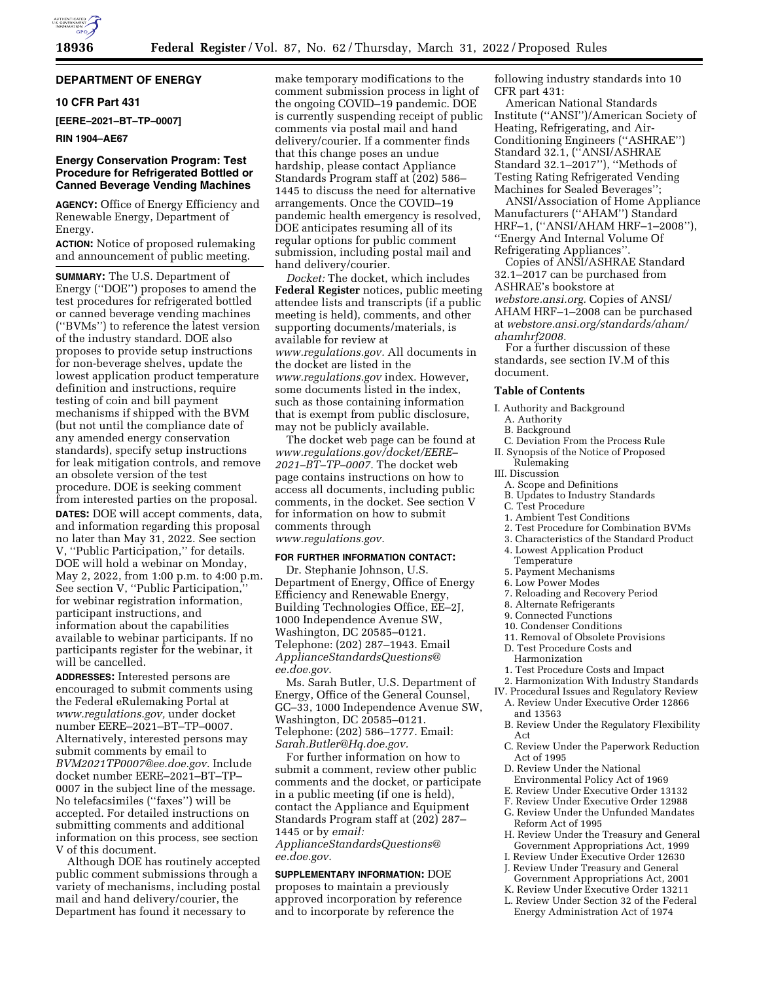

# **DEPARTMENT OF ENERGY**

### **10 CFR Part 431**

**[EERE–2021–BT–TP–0007]** 

#### **RIN 1904–AE67**

## **Energy Conservation Program: Test Procedure for Refrigerated Bottled or Canned Beverage Vending Machines**

**AGENCY:** Office of Energy Efficiency and Renewable Energy, Department of Energy.

**ACTION:** Notice of proposed rulemaking and announcement of public meeting.

**SUMMARY:** The U.S. Department of Energy (''DOE'') proposes to amend the test procedures for refrigerated bottled or canned beverage vending machines (''BVMs'') to reference the latest version of the industry standard. DOE also proposes to provide setup instructions for non-beverage shelves, update the lowest application product temperature definition and instructions, require testing of coin and bill payment mechanisms if shipped with the BVM (but not until the compliance date of any amended energy conservation standards), specify setup instructions for leak mitigation controls, and remove an obsolete version of the test procedure. DOE is seeking comment from interested parties on the proposal. **DATES:** DOE will accept comments, data, and information regarding this proposal no later than May 31, 2022. See section V, ''Public Participation,'' for details. DOE will hold a webinar on Monday, May 2, 2022, from 1:00 p.m. to 4:00 p.m. See section V, ''Public Participation,'' for webinar registration information, participant instructions, and information about the capabilities available to webinar participants. If no participants register for the webinar, it will be cancelled.

**ADDRESSES:** Interested persons are encouraged to submit comments using the Federal eRulemaking Portal at *[www.regulations.gov,](http://www.regulations.gov)* under docket number EERE–2021–BT–TP–0007. Alternatively, interested persons may submit comments by email to *[BVM2021TP0007@ee.doe.gov.](mailto:BVM2021TP0007@ee.doe.gov)* Include docket number EERE–2021–BT–TP– 0007 in the subject line of the message. No telefacsimiles (''faxes'') will be accepted. For detailed instructions on submitting comments and additional information on this process, see section V of this document.

Although DOE has routinely accepted public comment submissions through a variety of mechanisms, including postal mail and hand delivery/courier, the Department has found it necessary to

make temporary modifications to the comment submission process in light of the ongoing COVID–19 pandemic. DOE is currently suspending receipt of public comments via postal mail and hand delivery/courier. If a commenter finds that this change poses an undue hardship, please contact Appliance Standards Program staff at (202) 586– 1445 to discuss the need for alternative arrangements. Once the COVID–19 pandemic health emergency is resolved, DOE anticipates resuming all of its regular options for public comment submission, including postal mail and hand delivery/courier.

*Docket:* The docket, which includes **Federal Register** notices, public meeting attendee lists and transcripts (if a public meeting is held), comments, and other supporting documents/materials, is available for review at *[www.regulations.gov.](http://www.regulations.gov)* All documents in the docket are listed in the *[www.regulations.gov](http://www.regulations.gov)* index. However, some documents listed in the index, such as those containing information that is exempt from public disclosure, may not be publicly available.

The docket web page can be found at *[www.regulations.gov/docket/EERE–](http://www.regulations.gov/docket/EERE-2021-BT-TP-0007) [2021–BT–TP–0007.](http://www.regulations.gov/docket/EERE-2021-BT-TP-0007)* The docket web page contains instructions on how to access all documents, including public comments, in the docket. See section V for information on how to submit comments through *[www.regulations.gov.](http://www.regulations.gov)* 

#### **FOR FURTHER INFORMATION CONTACT:**

Dr. Stephanie Johnson, U.S. Department of Energy, Office of Energy Efficiency and Renewable Energy, Building Technologies Office, EE–2J, 1000 Independence Avenue SW, Washington, DC 20585–0121. Telephone: (202) 287–1943. Email *[ApplianceStandardsQuestions@](mailto:ApplianceStandardsQuestions@ee.doe.gov) [ee.doe.gov.](mailto:ApplianceStandardsQuestions@ee.doe.gov)* 

Ms. Sarah Butler, U.S. Department of Energy, Office of the General Counsel, GC–33, 1000 Independence Avenue SW, Washington, DC 20585–0121. Telephone: (202) 586–1777. Email: *[Sarah.Butler@Hq.doe.gov.](mailto:Sarah.Butler@Hq.doe.gov)* 

For further information on how to submit a comment, review other public comments and the docket, or participate in a public meeting (if one is held), contact the Appliance and Equipment Standards Program staff at (202) 287– 1445 or by *email:* 

*[ApplianceStandardsQuestions@](mailto:ApplianceStandardsQuestions@ee.doe.gov) [ee.doe.gov.](mailto:ApplianceStandardsQuestions@ee.doe.gov)* 

## **SUPPLEMENTARY INFORMATION:** DOE

proposes to maintain a previously approved incorporation by reference and to incorporate by reference the

following industry standards into 10 CFR part 431:

American National Standards Institute (''ANSI'')/American Society of Heating, Refrigerating, and Air-Conditioning Engineers (''ASHRAE'') Standard 32.1, (''ANSI/ASHRAE Standard 32.1–2017''), ''Methods of Testing Rating Refrigerated Vending Machines for Sealed Beverages'';

ANSI/Association of Home Appliance Manufacturers (''AHAM'') Standard HRF–1, (''ANSI/AHAM HRF–1–2008''), ''Energy And Internal Volume Of Refrigerating Appliances''.

Copies of ANSI/ASHRAE Standard 32.1–2017 can be purchased from ASHRAE's bookstore at *webstore.ansi.org.* Copies of ANSI/ AHAM HRF–1–2008 can be purchased at *webstore.ansi.org/standards/aham/ ahamhrf2008.* 

For a further discussion of these standards, see section IV.M of this document.

#### **Table of Contents**

- I. Authority and Background
	- A. Authority
- B. Background
- C. Deviation From the Process Rule
- II. Synopsis of the Notice of Proposed Rulemaking
- III. Discussion
- A. Scope and Definitions
- B. Updates to Industry Standards
- C. Test Procedure
- 1. Ambient Test Conditions
- 2. Test Procedure for Combination BVMs
- 3. Characteristics of the Standard Product
- 4. Lowest Application Product Temperature
- 5. Payment Mechanisms
- 6. Low Power Modes
- 7. Reloading and Recovery Period
- 8. Alternate Refrigerants
- 9. Connected Functions
- 10. Condenser Conditions
- 11. Removal of Obsolete Provisions
- D. Test Procedure Costs and
- Harmonization
- 1. Test Procedure Costs and Impact
- 
- 2. Harmonization With Industry Standards IV. Procedural Issues and Regulatory Review
- A. Review Under Executive Order 12866 and 13563
- B. Review Under the Regulatory Flexibility Act
- C. Review Under the Paperwork Reduction Act of 1995
- D. Review Under the National
- Environmental Policy Act of 1969
- E. Review Under Executive Order 13132
- F. Review Under Executive Order 12988
- G. Review Under the Unfunded Mandates Reform Act of 1995
- H. Review Under the Treasury and General Government Appropriations Act, 1999
- I. Review Under Executive Order 12630
- J. Review Under Treasury and General Government Appropriations Act, 2001
- K. Review Under Executive Order 13211
- L. Review Under Section 32 of the Federal Energy Administration Act of 1974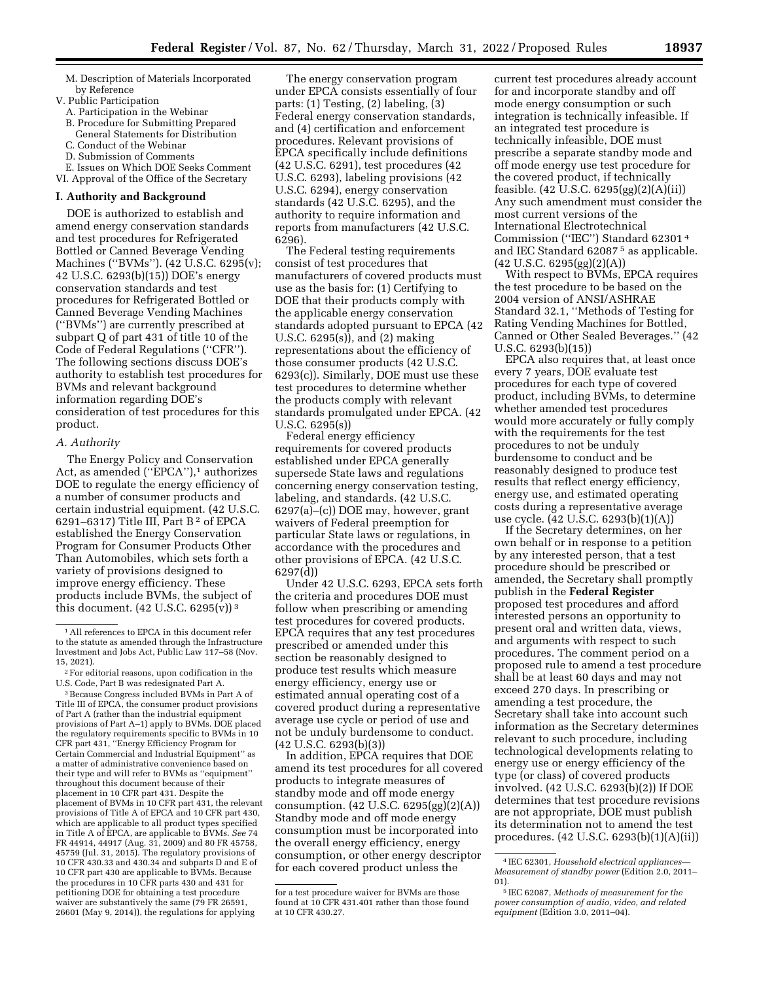M. Description of Materials Incorporated by Reference

- V. Public Participation
- A. Participation in the Webinar
- B. Procedure for Submitting Prepared General Statements for Distribution
- C. Conduct of the Webinar
- D. Submission of Comments
- E. Issues on Which DOE Seeks Comment
- VI. Approval of the Office of the Secretary

# **I. Authority and Background**

DOE is authorized to establish and amend energy conservation standards and test procedures for Refrigerated Bottled or Canned Beverage Vending Machines (''BVMs''). (42 U.S.C. 6295(v); 42 U.S.C. 6293(b)(15)) DOE's energy conservation standards and test procedures for Refrigerated Bottled or Canned Beverage Vending Machines (''BVMs'') are currently prescribed at subpart Q of part 431 of title 10 of the Code of Federal Regulations (''CFR''). The following sections discuss DOE's authority to establish test procedures for BVMs and relevant background information regarding DOE's consideration of test procedures for this product.

#### *A. Authority*

The Energy Policy and Conservation Act, as amended ("EPCA"),<sup>1</sup> authorizes DOE to regulate the energy efficiency of a number of consumer products and certain industrial equipment. (42 U.S.C. 6291–6317) Title III, Part B<sup>2</sup> of EPCA established the Energy Conservation Program for Consumer Products Other Than Automobiles, which sets forth a variety of provisions designed to improve energy efficiency. These products include BVMs, the subject of this document.  $(42 \text{ U.S.C. } 6295(v))^3$ 

3Because Congress included BVMs in Part A of Title III of EPCA, the consumer product provisions of Part A (rather than the industrial equipment provisions of Part A–1) apply to BVMs. DOE placed the regulatory requirements specific to BVMs in 10 CFR part 431, ''Energy Efficiency Program for Certain Commercial and Industrial Equipment'' as a matter of administrative convenience based on their type and will refer to BVMs as ''equipment'' throughout this document because of their placement in 10 CFR part 431. Despite the placement of BVMs in 10 CFR part 431, the relevant provisions of Title A of EPCA and 10 CFR part 430, which are applicable to all product types specified in Title A of EPCA, are applicable to BVMs. *See* 74 FR 44914, 44917 (Aug. 31, 2009) and 80 FR 45758, 45759 (Jul. 31, 2015). The regulatory provisions of 10 CFR 430.33 and 430.34 and subparts D and E of 10 CFR part 430 are applicable to BVMs. Because the procedures in 10 CFR parts 430 and 431 for petitioning DOE for obtaining a test procedure waiver are substantively the same (79 FR 26591, 26601 (May 9, 2014)), the regulations for applying

The energy conservation program under EPCA consists essentially of four parts: (1) Testing, (2) labeling, (3) Federal energy conservation standards, and (4) certification and enforcement procedures. Relevant provisions of EPCA specifically include definitions (42 U.S.C. 6291), test procedures (42 U.S.C. 6293), labeling provisions (42 U.S.C. 6294), energy conservation standards (42 U.S.C. 6295), and the authority to require information and reports from manufacturers (42 U.S.C. 6296).

The Federal testing requirements consist of test procedures that manufacturers of covered products must use as the basis for: (1) Certifying to DOE that their products comply with the applicable energy conservation standards adopted pursuant to EPCA (42 U.S.C. 6295(s)), and (2) making representations about the efficiency of those consumer products (42 U.S.C. 6293(c)). Similarly, DOE must use these test procedures to determine whether the products comply with relevant standards promulgated under EPCA. (42 U.S.C. 6295(s))

Federal energy efficiency requirements for covered products established under EPCA generally supersede State laws and regulations concerning energy conservation testing, labeling, and standards. (42 U.S.C. 6297(a)–(c)) DOE may, however, grant waivers of Federal preemption for particular State laws or regulations, in accordance with the procedures and other provisions of EPCA. (42 U.S.C. 6297(d))

Under 42 U.S.C. 6293, EPCA sets forth the criteria and procedures DOE must follow when prescribing or amending test procedures for covered products. EPCA requires that any test procedures prescribed or amended under this section be reasonably designed to produce test results which measure energy efficiency, energy use or estimated annual operating cost of a covered product during a representative average use cycle or period of use and not be unduly burdensome to conduct. (42 U.S.C. 6293(b)(3))

In addition, EPCA requires that DOE amend its test procedures for all covered products to integrate measures of standby mode and off mode energy consumption. (42 U.S.C. 6295(gg)(2)(A)) Standby mode and off mode energy consumption must be incorporated into the overall energy efficiency, energy consumption, or other energy descriptor for each covered product unless the

current test procedures already account for and incorporate standby and off mode energy consumption or such integration is technically infeasible. If an integrated test procedure is technically infeasible, DOE must prescribe a separate standby mode and off mode energy use test procedure for the covered product, if technically feasible. (42 U.S.C. 6295(gg)(2)(A)(ii)) Any such amendment must consider the most current versions of the International Electrotechnical Commission (''IEC'') Standard 62301 4 and IEC Standard 62087 5 as applicable.  $(42 \text{ U.S.C. } 6295\text{(gg)}(2)(A))$ 

With respect to BVMs, EPCA requires the test procedure to be based on the 2004 version of ANSI/ASHRAE Standard 32.1, ''Methods of Testing for Rating Vending Machines for Bottled, Canned or Other Sealed Beverages.'' (42 U.S.C. 6293(b)(15))

EPCA also requires that, at least once every 7 years, DOE evaluate test procedures for each type of covered product, including BVMs, to determine whether amended test procedures would more accurately or fully comply with the requirements for the test procedures to not be unduly burdensome to conduct and be reasonably designed to produce test results that reflect energy efficiency, energy use, and estimated operating costs during a representative average use cycle. (42 U.S.C. 6293(b)(1)(A))

If the Secretary determines, on her own behalf or in response to a petition by any interested person, that a test procedure should be prescribed or amended, the Secretary shall promptly publish in the **Federal Register**  proposed test procedures and afford interested persons an opportunity to present oral and written data, views, and arguments with respect to such procedures. The comment period on a proposed rule to amend a test procedure shall be at least 60 days and may not exceed 270 days. In prescribing or amending a test procedure, the Secretary shall take into account such information as the Secretary determines relevant to such procedure, including technological developments relating to energy use or energy efficiency of the type (or class) of covered products involved. (42 U.S.C. 6293(b)(2)) If DOE determines that test procedure revisions are not appropriate, DOE must publish its determination not to amend the test procedures. (42 U.S.C. 6293(b)(1)(A)(ii))

<sup>1</sup>All references to EPCA in this document refer to the statute as amended through the Infrastructure Investment and Jobs Act, Public Law 117–58 (Nov. 15, 2021).

<sup>2</sup>For editorial reasons, upon codification in the U.S. Code, Part B was redesignated Part A.

for a test procedure waiver for BVMs are those found at 10 CFR 431.401 rather than those found at 10 CFR 430.27.

<sup>4</sup> IEC 62301, *Household electrical appliances— Measurement of standby power* (Edition 2.0, 2011– 01).

<sup>5</sup> IEC 62087, *Methods of measurement for the power consumption of audio, video, and related equipment* (Edition 3.0, 2011–04).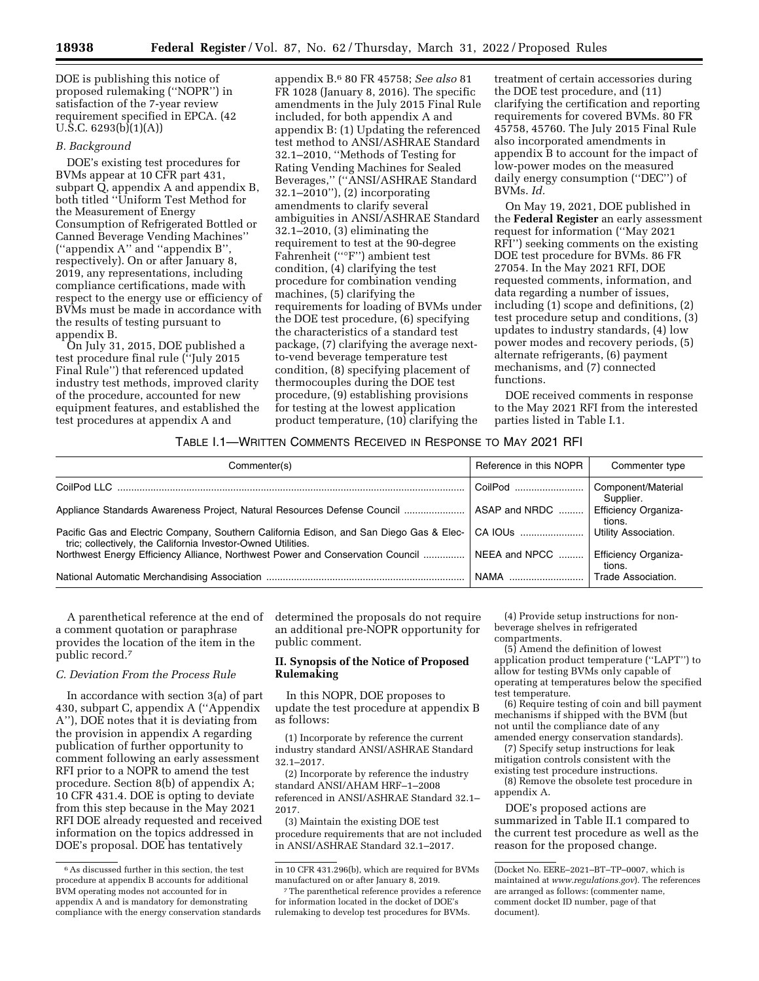DOE is publishing this notice of proposed rulemaking (''NOPR'') in satisfaction of the 7-year review requirement specified in EPCA. (42 U.S.C. 6293(b)(1)(A))

## *B. Background*

DOE's existing test procedures for BVMs appear at 10 CFR part 431, subpart Q, appendix A and appendix B, both titled ''Uniform Test Method for the Measurement of Energy Consumption of Refrigerated Bottled or Canned Beverage Vending Machines'' (''appendix A'' and ''appendix B'', respectively). On or after January 8, 2019, any representations, including compliance certifications, made with respect to the energy use or efficiency of BVMs must be made in accordance with the results of testing pursuant to appendix B.

On July 31, 2015, DOE published a test procedure final rule (''July 2015 Final Rule'') that referenced updated industry test methods, improved clarity of the procedure, accounted for new equipment features, and established the test procedures at appendix A and

appendix B.6 80 FR 45758; *See also* 81 FR 1028 (January 8, 2016). The specific amendments in the July 2015 Final Rule included, for both appendix A and appendix B: (1) Updating the referenced test method to ANSI/ASHRAE Standard 32.1–2010, ''Methods of Testing for Rating Vending Machines for Sealed Beverages,'' (''ANSI/ASHRAE Standard 32.1–2010''), (2) incorporating amendments to clarify several ambiguities in ANSI/ASHRAE Standard 32.1–2010, (3) eliminating the requirement to test at the 90-degree Fahrenheit (''°F'') ambient test condition, (4) clarifying the test procedure for combination vending machines, (5) clarifying the requirements for loading of BVMs under the DOE test procedure, (6) specifying the characteristics of a standard test package, (7) clarifying the average nextto-vend beverage temperature test condition, (8) specifying placement of thermocouples during the DOE test procedure, (9) establishing provisions for testing at the lowest application product temperature, (10) clarifying the

treatment of certain accessories during the DOE test procedure, and (11) clarifying the certification and reporting requirements for covered BVMs. 80 FR 45758, 45760. The July 2015 Final Rule also incorporated amendments in appendix B to account for the impact of low-power modes on the measured daily energy consumption (''DEC'') of BVMs. *Id.* 

On May 19, 2021, DOE published in the **Federal Register** an early assessment request for information (''May 2021 RFI'') seeking comments on the existing DOE test procedure for BVMs. 86 FR 27054. In the May 2021 RFI, DOE requested comments, information, and data regarding a number of issues, including (1) scope and definitions, (2) test procedure setup and conditions, (3) updates to industry standards, (4) low power modes and recovery periods, (5) alternate refrigerants, (6) payment mechanisms, and (7) connected functions.

DOE received comments in response to the May 2021 RFI from the interested parties listed in Table I.1.

## TABLE I.1—WRITTEN COMMENTS RECEIVED IN RESPONSE TO MAY 2021 RFI

| Commenter(s)                                                                                                                                            | Reference in this NOPR | Commenter type                        |
|---------------------------------------------------------------------------------------------------------------------------------------------------------|------------------------|---------------------------------------|
|                                                                                                                                                         | CoilPod                | Component/Material<br>Supplier.       |
| Appliance Standards Awareness Project, Natural Resources Defense Council                                                                                | ASAP and NRDC          | <b>Efficiency Organiza-</b><br>tions. |
| Pacific Gas and Electric Company, Southern California Edison, and San Diego Gas & Elec-<br>tric; collectively, the California Investor-Owned Utilities. | CA IOUS                | Utility Association.                  |
| Northwest Energy Efficiency Alliance, Northwest Power and Conservation Council                                                                          | NEEA and NPCC          | <b>Efficiency Organiza-</b><br>tions. |
|                                                                                                                                                         | NAMA                   | Trade Association.                    |

A parenthetical reference at the end of a comment quotation or paraphrase provides the location of the item in the public record.7

## *C. Deviation From the Process Rule*

In accordance with section 3(a) of part 430, subpart C, appendix A (''Appendix A''), DOE notes that it is deviating from the provision in appendix A regarding publication of further opportunity to comment following an early assessment RFI prior to a NOPR to amend the test procedure. Section 8(b) of appendix A; 10 CFR 431.4. DOE is opting to deviate from this step because in the May 2021 RFI DOE already requested and received information on the topics addressed in DOE's proposal. DOE has tentatively

determined the proposals do not require an additional pre-NOPR opportunity for public comment.

## **II. Synopsis of the Notice of Proposed Rulemaking**

In this NOPR, DOE proposes to update the test procedure at appendix B as follows:

(1) Incorporate by reference the current industry standard ANSI/ASHRAE Standard 32.1–2017.

(2) Incorporate by reference the industry standard ANSI/AHAM HRF–1–2008 referenced in ANSI/ASHRAE Standard 32.1– 2017.

(3) Maintain the existing DOE test procedure requirements that are not included in ANSI/ASHRAE Standard 32.1–2017.

(4) Provide setup instructions for nonbeverage shelves in refrigerated compartments.

(5) Amend the definition of lowest application product temperature (''LAPT'') to allow for testing BVMs only capable of operating at temperatures below the specified test temperature.

(6) Require testing of coin and bill payment mechanisms if shipped with the BVM (but not until the compliance date of any amended energy conservation standards).

(7) Specify setup instructions for leak mitigation controls consistent with the existing test procedure instructions.

(8) Remove the obsolete test procedure in appendix A.

DOE's proposed actions are summarized in Table II.1 compared to the current test procedure as well as the reason for the proposed change.

<sup>6</sup>As discussed further in this section, the test procedure at appendix B accounts for additional BVM operating modes not accounted for in appendix A and is mandatory for demonstrating compliance with the energy conservation standards

in 10 CFR 431.296(b), which are required for BVMs manufactured on or after January 8, 2019.

<sup>7</sup>The parenthetical reference provides a reference for information located in the docket of DOE's rulemaking to develop test procedures for BVMs.

<sup>(</sup>Docket No. EERE–2021–BT–TP–0007, which is maintained at *[www.regulations.gov](http://www.regulations.gov)*). The references are arranged as follows: (commenter name, comment docket ID number, page of that document).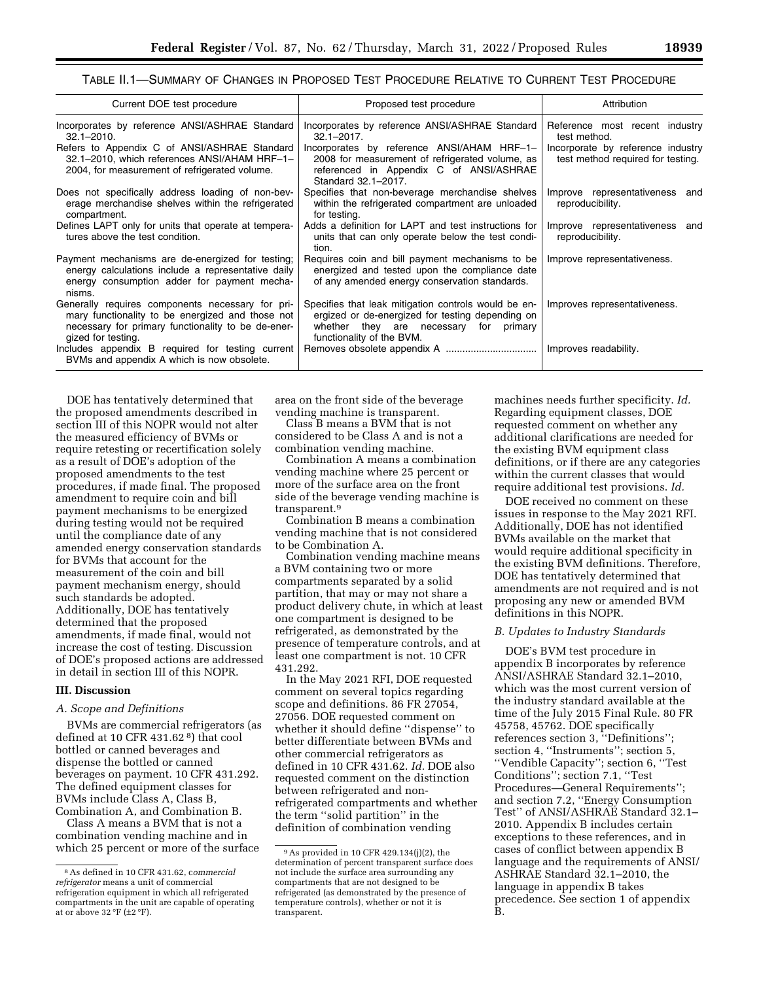## TABLE II.1—SUMMARY OF CHANGES IN PROPOSED TEST PROCEDURE RELATIVE TO CURRENT TEST PROCEDURE

| Current DOE test procedure                                                                                                                                                       | Proposed test procedure                                                                                                                                                         | Attribution                                                            |
|----------------------------------------------------------------------------------------------------------------------------------------------------------------------------------|---------------------------------------------------------------------------------------------------------------------------------------------------------------------------------|------------------------------------------------------------------------|
| Incorporates by reference ANSI/ASHRAE Standard<br>$32.1 - 2010.$                                                                                                                 | Incorporates by reference ANSI/ASHRAE Standard<br>$32.1 - 2017$ .                                                                                                               | Reference most recent industry<br>test method.                         |
| Refers to Appendix C of ANSI/ASHRAE Standard<br>32.1-2010, which references ANSI/AHAM HRF-1-<br>2004, for measurement of refrigerated volume.                                    | Incorporates by reference ANSI/AHAM HRF-1-<br>2008 for measurement of refrigerated volume, as<br>referenced in Appendix C of ANSI/ASHRAE<br>Standard 32.1-2017.                 | Incorporate by reference industry<br>test method required for testing. |
| Does not specifically address loading of non-bev-<br>erage merchandise shelves within the refrigerated<br>compartment.                                                           | Specifies that non-beverage merchandise shelves<br>within the refrigerated compartment are unloaded<br>for testing.                                                             | Improve representativeness and<br>reproducibility.                     |
| Defines LAPT only for units that operate at tempera-<br>tures above the test condition.                                                                                          | Adds a definition for LAPT and test instructions for<br>units that can only operate below the test condi-<br>tion.                                                              | Improve representativeness and<br>reproducibility.                     |
| Payment mechanisms are de-energized for testing;<br>energy calculations include a representative daily<br>energy consumption adder for payment mecha-<br>nisms.                  | Requires coin and bill payment mechanisms to be<br>energized and tested upon the compliance date<br>of any amended energy conservation standards.                               | Improve representativeness.                                            |
| Generally requires components necessary for pri-<br>mary functionality to be energized and those not<br>necessary for primary functionality to be de-ener-<br>gized for testing. | Specifies that leak mitigation controls would be en-<br>ergized or de-energized for testing depending on<br>whether they are necessary for primary<br>functionality of the BVM. | Improves representativeness.                                           |
| Includes appendix B required for testing current<br>BVMs and appendix A which is now obsolete.                                                                                   |                                                                                                                                                                                 | Improves readability.                                                  |

DOE has tentatively determined that the proposed amendments described in section III of this NOPR would not alter the measured efficiency of BVMs or require retesting or recertification solely as a result of DOE's adoption of the proposed amendments to the test procedures, if made final. The proposed amendment to require coin and bill payment mechanisms to be energized during testing would not be required until the compliance date of any amended energy conservation standards for BVMs that account for the measurement of the coin and bill payment mechanism energy, should such standards be adopted. Additionally, DOE has tentatively determined that the proposed amendments, if made final, would not increase the cost of testing. Discussion of DOE's proposed actions are addressed in detail in section III of this NOPR.

#### **III. Discussion**

#### *A. Scope and Definitions*

BVMs are commercial refrigerators (as defined at 10 CFR 431.62 8) that cool bottled or canned beverages and dispense the bottled or canned beverages on payment. 10 CFR 431.292. The defined equipment classes for BVMs include Class A, Class B, Combination A, and Combination B.

Class A means a BVM that is not a combination vending machine and in which 25 percent or more of the surface area on the front side of the beverage vending machine is transparent.

Class B means a BVM that is not considered to be Class A and is not a combination vending machine.

Combination A means a combination vending machine where 25 percent or more of the surface area on the front side of the beverage vending machine is transparent.9

Combination B means a combination vending machine that is not considered to be Combination A.

Combination vending machine means a BVM containing two or more compartments separated by a solid partition, that may or may not share a product delivery chute, in which at least one compartment is designed to be refrigerated, as demonstrated by the presence of temperature controls, and at least one compartment is not. 10 CFR 431.292.

In the May 2021 RFI, DOE requested comment on several topics regarding scope and definitions. 86 FR 27054, 27056. DOE requested comment on whether it should define ''dispense'' to better differentiate between BVMs and other commercial refrigerators as defined in 10 CFR 431.62. *Id.* DOE also requested comment on the distinction between refrigerated and nonrefrigerated compartments and whether the term ''solid partition'' in the definition of combination vending

machines needs further specificity. *Id.*  Regarding equipment classes, DOE requested comment on whether any additional clarifications are needed for the existing BVM equipment class definitions, or if there are any categories within the current classes that would require additional test provisions. *Id.* 

DOE received no comment on these issues in response to the May 2021 RFI. Additionally, DOE has not identified BVMs available on the market that would require additional specificity in the existing BVM definitions. Therefore, DOE has tentatively determined that amendments are not required and is not proposing any new or amended BVM definitions in this NOPR.

#### *B. Updates to Industry Standards*

DOE's BVM test procedure in appendix B incorporates by reference ANSI/ASHRAE Standard 32.1–2010, which was the most current version of the industry standard available at the time of the July 2015 Final Rule. 80 FR 45758, 45762. DOE specifically references section 3, ''Definitions''; section 4, ''Instruments''; section 5, ''Vendible Capacity''; section 6, ''Test Conditions''; section 7.1, ''Test Procedures—General Requirements''; and section 7.2, ''Energy Consumption Test'' of ANSI/ASHRAE Standard 32.1– 2010. Appendix B includes certain exceptions to these references, and in cases of conflict between appendix B language and the requirements of ANSI/ ASHRAE Standard 32.1–2010, the language in appendix B takes precedence. See section 1 of appendix B.

<sup>8</sup>As defined in 10 CFR 431.62, c*ommercial refrigerator* means a unit of commercial refrigeration equipment in which all refrigerated compartments in the unit are capable of operating at or above  $32 °F$  ( $\pm 2 °F$ ).

<sup>9</sup>As provided in 10 CFR 429.134(j)(2), the determination of percent transparent surface does not include the surface area surrounding any compartments that are not designed to be refrigerated (as demonstrated by the presence of temperature controls), whether or not it is transparent.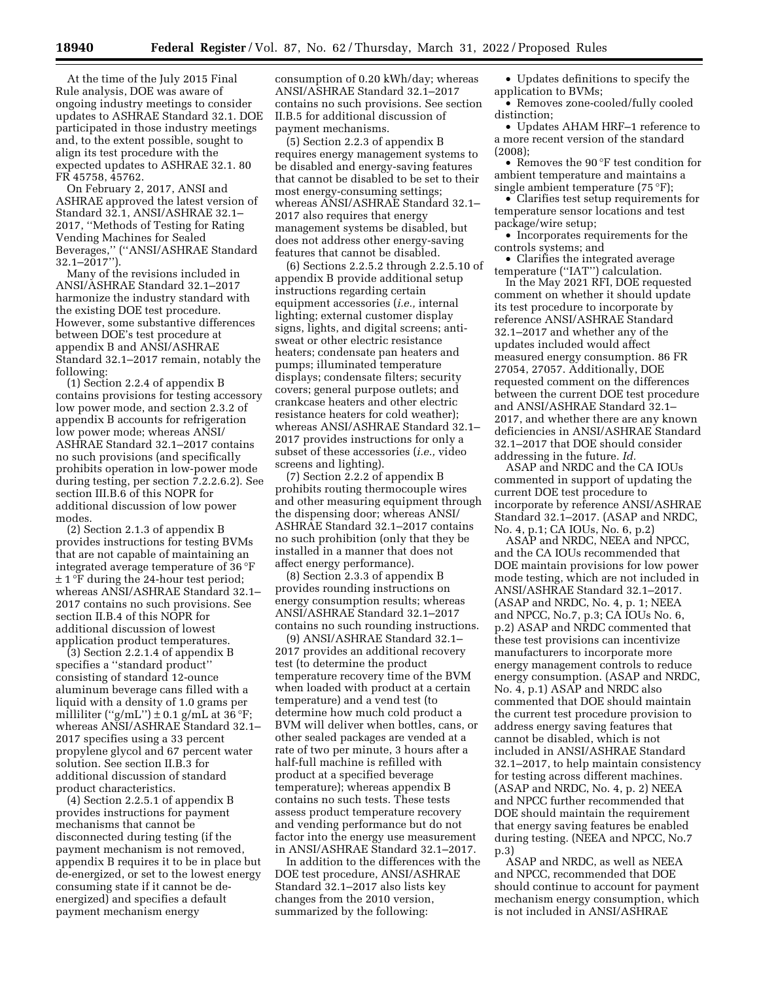At the time of the July 2015 Final Rule analysis, DOE was aware of ongoing industry meetings to consider updates to ASHRAE Standard 32.1. DOE participated in those industry meetings and, to the extent possible, sought to align its test procedure with the expected updates to ASHRAE 32.1. 80 FR 45758, 45762.

On February 2, 2017, ANSI and ASHRAE approved the latest version of Standard 32.1, ANSI/ASHRAE 32.1– 2017, ''Methods of Testing for Rating Vending Machines for Sealed Beverages,'' (''ANSI/ASHRAE Standard 32.1–2017'').

Many of the revisions included in ANSI/ASHRAE Standard 32.1–2017 harmonize the industry standard with the existing DOE test procedure. However, some substantive differences between DOE's test procedure at appendix B and ANSI/ASHRAE Standard 32.1–2017 remain, notably the following:

(1) Section 2.2.4 of appendix B contains provisions for testing accessory low power mode, and section 2.3.2 of appendix B accounts for refrigeration low power mode; whereas ANSI/ ASHRAE Standard 32.1–2017 contains no such provisions (and specifically prohibits operation in low-power mode during testing, per section 7.2.2.6.2). See section III.B.6 of this NOPR for additional discussion of low power modes.

(2) Section 2.1.3 of appendix B provides instructions for testing BVMs that are not capable of maintaining an integrated average temperature of 36 °F  $\pm$  1 °F during the 24-hour test period; whereas ANSI/ASHRAE Standard 32.1– 2017 contains no such provisions. See section II.B.4 of this NOPR for additional discussion of lowest application product temperatures.

(3) Section 2.2.1.4 of appendix B specifies a ''standard product'' consisting of standard 12-ounce aluminum beverage cans filled with a liquid with a density of 1.0 grams per milliliter ("g/mL")  $\pm$  0.1 g/mL at 36 °F; whereas ANSI/ASHRAE Standard 32.1– 2017 specifies using a 33 percent propylene glycol and 67 percent water solution. See section II.B.3 for additional discussion of standard product characteristics.

(4) Section 2.2.5.1 of appendix B provides instructions for payment mechanisms that cannot be disconnected during testing (if the payment mechanism is not removed, appendix B requires it to be in place but de-energized, or set to the lowest energy consuming state if it cannot be deenergized) and specifies a default payment mechanism energy

consumption of 0.20 kWh/day; whereas ANSI/ASHRAE Standard 32.1–2017 contains no such provisions. See section II.B.5 for additional discussion of payment mechanisms.

(5) Section 2.2.3 of appendix B requires energy management systems to be disabled and energy-saving features that cannot be disabled to be set to their most energy-consuming settings; whereas ANSI/ASHRAE Standard 32.1– 2017 also requires that energy management systems be disabled, but does not address other energy-saving features that cannot be disabled.

(6) Sections 2.2.5.2 through 2.2.5.10 of appendix B provide additional setup instructions regarding certain equipment accessories (*i.e.,* internal lighting; external customer display signs, lights, and digital screens; antisweat or other electric resistance heaters; condensate pan heaters and pumps; illuminated temperature displays; condensate filters; security covers; general purpose outlets; and crankcase heaters and other electric resistance heaters for cold weather); whereas ANSI/ASHRAE Standard 32.1– 2017 provides instructions for only a subset of these accessories (*i.e.,* video screens and lighting).

(7) Section 2.2.2 of appendix B prohibits routing thermocouple wires and other measuring equipment through the dispensing door; whereas ANSI/ ASHRAE Standard 32.1–2017 contains no such prohibition (only that they be installed in a manner that does not affect energy performance).

(8) Section 2.3.3 of appendix B provides rounding instructions on energy consumption results; whereas ANSI/ASHRAE Standard 32.1–2017 contains no such rounding instructions.

(9) ANSI/ASHRAE Standard 32.1– 2017 provides an additional recovery test (to determine the product temperature recovery time of the BVM when loaded with product at a certain temperature) and a vend test (to determine how much cold product a BVM will deliver when bottles, cans, or other sealed packages are vended at a rate of two per minute, 3 hours after a half-full machine is refilled with product at a specified beverage temperature); whereas appendix B contains no such tests. These tests assess product temperature recovery and vending performance but do not factor into the energy use measurement in ANSI/ASHRAE Standard 32.1–2017.

In addition to the differences with the DOE test procedure, ANSI/ASHRAE Standard 32.1–2017 also lists key changes from the 2010 version, summarized by the following:

• Updates definitions to specify the application to BVMs;

• Removes zone-cooled/fully cooled distinction;

• Updates AHAM HRF–1 reference to a more recent version of the standard (2008);

• Removes the 90 °F test condition for ambient temperature and maintains a single ambient temperature (75 °F);

• Clarifies test setup requirements for temperature sensor locations and test package/wire setup;

• Incorporates requirements for the controls systems; and

• Clarifies the integrated average temperature (''IAT'') calculation.

In the May 2021 RFI, DOE requested comment on whether it should update its test procedure to incorporate by reference ANSI/ASHRAE Standard 32.1–2017 and whether any of the updates included would affect measured energy consumption. 86 FR 27054, 27057. Additionally, DOE requested comment on the differences between the current DOE test procedure and ANSI/ASHRAE Standard 32.1– 2017, and whether there are any known deficiencies in ANSI/ASHRAE Standard 32.1–2017 that DOE should consider addressing in the future. *Id.* 

ASAP and NRDC and the CA IOUs commented in support of updating the current DOE test procedure to incorporate by reference ANSI/ASHRAE Standard 32.1–2017. (ASAP and NRDC, No. 4, p.1; CA IOUs, No. 6, p.2)

ASAP and NRDC, NEEA and NPCC, and the CA IOUs recommended that DOE maintain provisions for low power mode testing, which are not included in ANSI/ASHRAE Standard 32.1–2017. (ASAP and NRDC, No. 4, p. 1; NEEA and NPCC, No.7, p.3; CA IOUs No. 6, p.2) ASAP and NRDC commented that these test provisions can incentivize manufacturers to incorporate more energy management controls to reduce energy consumption. (ASAP and NRDC, No. 4, p.1) ASAP and NRDC also commented that DOE should maintain the current test procedure provision to address energy saving features that cannot be disabled, which is not included in ANSI/ASHRAE Standard 32.1–2017, to help maintain consistency for testing across different machines. (ASAP and NRDC, No. 4, p. 2) NEEA and NPCC further recommended that DOE should maintain the requirement that energy saving features be enabled during testing. (NEEA and NPCC, No.7 p.3)

ASAP and NRDC, as well as NEEA and NPCC, recommended that DOE should continue to account for payment mechanism energy consumption, which is not included in ANSI/ASHRAE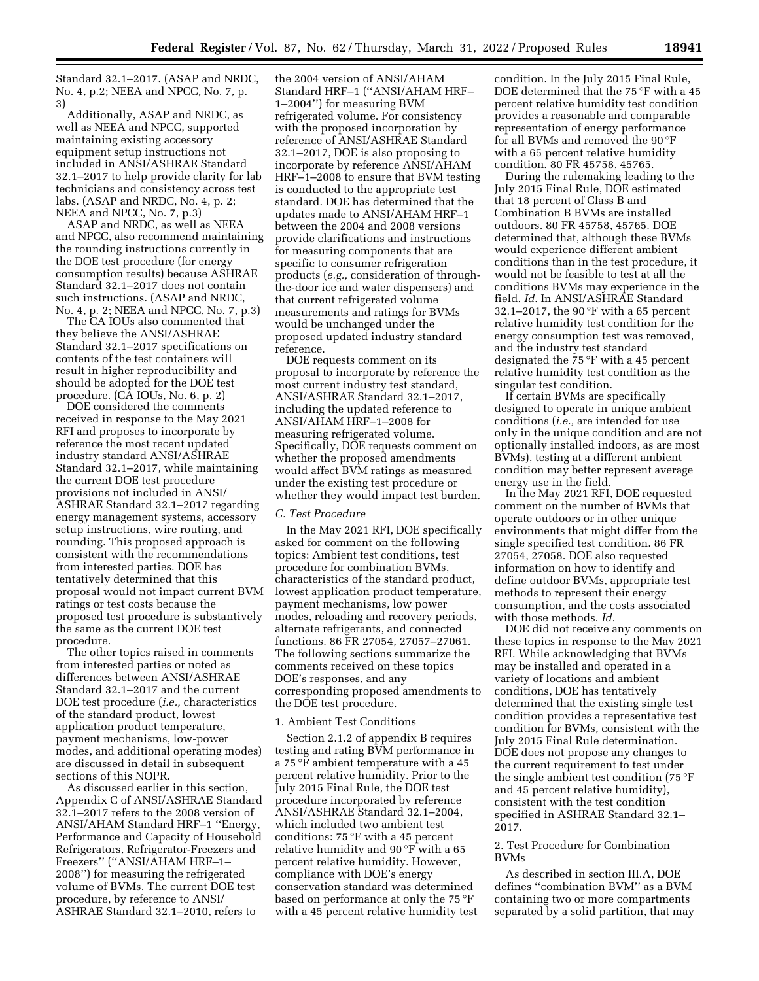Standard 32.1–2017. (ASAP and NRDC, No. 4, p.2; NEEA and NPCC, No. 7, p. 3)

Additionally, ASAP and NRDC, as well as NEEA and NPCC, supported maintaining existing accessory equipment setup instructions not included in ANSI/ASHRAE Standard 32.1–2017 to help provide clarity for lab technicians and consistency across test labs. (ASAP and NRDC, No. 4, p. 2; NEEA and NPCC, No. 7, p.3)

ASAP and NRDC, as well as NEEA and NPCC, also recommend maintaining the rounding instructions currently in the DOE test procedure (for energy consumption results) because ASHRAE Standard 32.1–2017 does not contain such instructions. (ASAP and NRDC, No. 4, p. 2; NEEA and NPCC, No. 7, p.3)

The CA IOUs also commented that they believe the ANSI/ASHRAE Standard 32.1–2017 specifications on contents of the test containers will result in higher reproducibility and should be adopted for the DOE test procedure. (CA IOUs, No. 6, p. 2)

DOE considered the comments received in response to the May 2021 RFI and proposes to incorporate by reference the most recent updated industry standard ANSI/ASHRAE Standard 32.1–2017, while maintaining the current DOE test procedure provisions not included in ANSI/ ASHRAE Standard 32.1–2017 regarding energy management systems, accessory setup instructions, wire routing, and rounding. This proposed approach is consistent with the recommendations from interested parties. DOE has tentatively determined that this proposal would not impact current BVM ratings or test costs because the proposed test procedure is substantively the same as the current DOE test procedure.

The other topics raised in comments from interested parties or noted as differences between ANSI/ASHRAE Standard 32.1–2017 and the current DOE test procedure (*i.e.,* characteristics of the standard product, lowest application product temperature, payment mechanisms, low-power modes, and additional operating modes) are discussed in detail in subsequent sections of this NOPR.

As discussed earlier in this section, Appendix C of ANSI/ASHRAE Standard 32.1–2017 refers to the 2008 version of ANSI/AHAM Standard HRF–1 ''Energy, Performance and Capacity of Household Refrigerators, Refrigerator-Freezers and Freezers'' (''ANSI/AHAM HRF–1– 2008'') for measuring the refrigerated volume of BVMs. The current DOE test procedure, by reference to ANSI/ ASHRAE Standard 32.1–2010, refers to

the 2004 version of ANSI/AHAM Standard HRF–1 (''ANSI/AHAM HRF– 1–2004'') for measuring BVM refrigerated volume. For consistency with the proposed incorporation by reference of ANSI/ASHRAE Standard 32.1–2017, DOE is also proposing to incorporate by reference ANSI/AHAM HRF–1–2008 to ensure that BVM testing is conducted to the appropriate test standard. DOE has determined that the updates made to ANSI/AHAM HRF–1 between the 2004 and 2008 versions provide clarifications and instructions for measuring components that are specific to consumer refrigeration products (*e.g.,* consideration of throughthe-door ice and water dispensers) and that current refrigerated volume measurements and ratings for BVMs would be unchanged under the proposed updated industry standard reference.

DOE requests comment on its proposal to incorporate by reference the most current industry test standard, ANSI/ASHRAE Standard 32.1–2017, including the updated reference to ANSI/AHAM HRF–1–2008 for measuring refrigerated volume. Specifically, DOE requests comment on whether the proposed amendments would affect BVM ratings as measured under the existing test procedure or whether they would impact test burden.

## *C. Test Procedure*

In the May 2021 RFI, DOE specifically asked for comment on the following topics: Ambient test conditions, test procedure for combination BVMs, characteristics of the standard product, lowest application product temperature, payment mechanisms, low power modes, reloading and recovery periods, alternate refrigerants, and connected functions. 86 FR 27054, 27057–27061. The following sections summarize the comments received on these topics DOE's responses, and any corresponding proposed amendments to the DOE test procedure.

#### 1. Ambient Test Conditions

Section 2.1.2 of appendix B requires testing and rating BVM performance in a 75 °F ambient temperature with a 45 percent relative humidity. Prior to the July 2015 Final Rule, the DOE test procedure incorporated by reference ANSI/ASHRAE Standard 32.1–2004, which included two ambient test conditions: 75 °F with a 45 percent relative humidity and 90 °F with a 65 percent relative humidity. However, compliance with DOE's energy conservation standard was determined based on performance at only the 75 °F with a 45 percent relative humidity test

condition. In the July 2015 Final Rule, DOE determined that the 75 °F with a 45 percent relative humidity test condition provides a reasonable and comparable representation of energy performance for all BVMs and removed the 90 °F with a 65 percent relative humidity condition. 80 FR 45758, 45765.

During the rulemaking leading to the July 2015 Final Rule, DOE estimated that 18 percent of Class B and Combination B BVMs are installed outdoors. 80 FR 45758, 45765. DOE determined that, although these BVMs would experience different ambient conditions than in the test procedure, it would not be feasible to test at all the conditions BVMs may experience in the field. *Id.* In ANSI/ASHRAE Standard 32.1–2017, the 90 °F with a 65 percent relative humidity test condition for the energy consumption test was removed, and the industry test standard designated the 75 °F with a 45 percent relative humidity test condition as the singular test condition.

If certain BVMs are specifically designed to operate in unique ambient conditions (*i.e.,* are intended for use only in the unique condition and are not optionally installed indoors, as are most BVMs), testing at a different ambient condition may better represent average energy use in the field.

In the May 2021 RFI, DOE requested comment on the number of BVMs that operate outdoors or in other unique environments that might differ from the single specified test condition. 86 FR 27054, 27058. DOE also requested information on how to identify and define outdoor BVMs, appropriate test methods to represent their energy consumption, and the costs associated with those methods. *Id.* 

DOE did not receive any comments on these topics in response to the May 2021 RFI. While acknowledging that BVMs may be installed and operated in a variety of locations and ambient conditions, DOE has tentatively determined that the existing single test condition provides a representative test condition for BVMs, consistent with the July 2015 Final Rule determination. DOE does not propose any changes to the current requirement to test under the single ambient test condition (75 °F and 45 percent relative humidity), consistent with the test condition specified in ASHRAE Standard 32.1– 2017.

## 2. Test Procedure for Combination BVMs

As described in section III.A, DOE defines ''combination BVM'' as a BVM containing two or more compartments separated by a solid partition, that may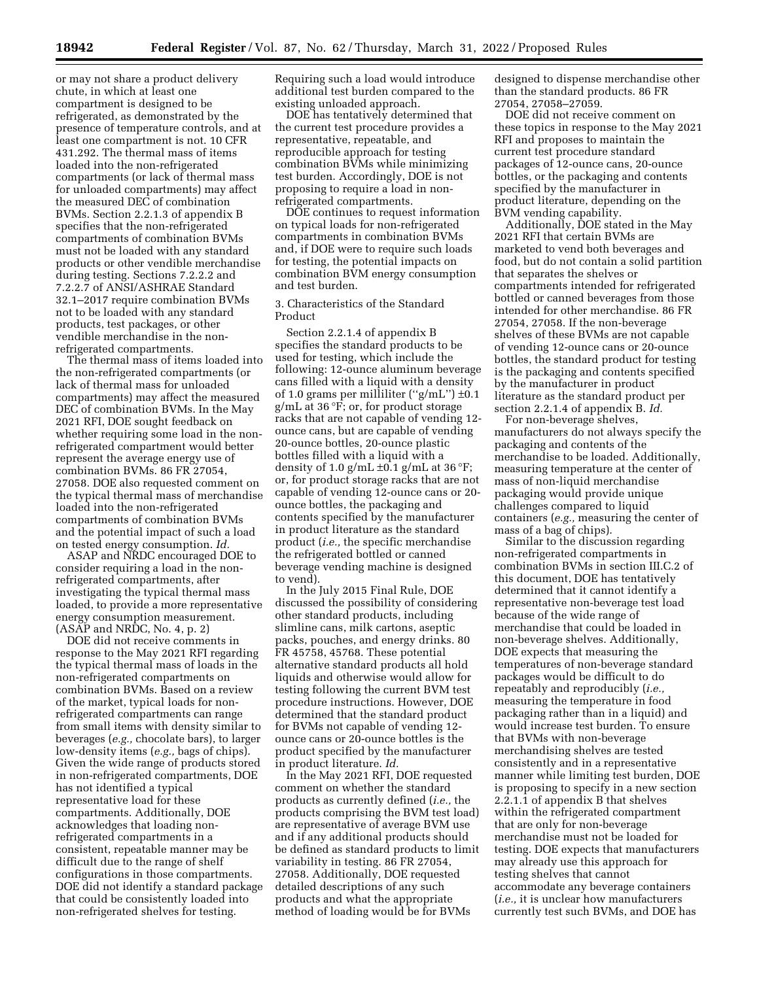or may not share a product delivery chute, in which at least one compartment is designed to be refrigerated, as demonstrated by the presence of temperature controls, and at least one compartment is not. 10 CFR 431.292. The thermal mass of items loaded into the non-refrigerated compartments (or lack of thermal mass for unloaded compartments) may affect the measured DEC of combination BVMs. Section 2.2.1.3 of appendix B specifies that the non-refrigerated compartments of combination BVMs must not be loaded with any standard products or other vendible merchandise during testing. Sections 7.2.2.2 and 7.2.2.7 of ANSI/ASHRAE Standard 32.1–2017 require combination BVMs not to be loaded with any standard products, test packages, or other vendible merchandise in the nonrefrigerated compartments.

The thermal mass of items loaded into the non-refrigerated compartments (or lack of thermal mass for unloaded compartments) may affect the measured DEC of combination BVMs. In the May 2021 RFI, DOE sought feedback on whether requiring some load in the nonrefrigerated compartment would better represent the average energy use of combination BVMs. 86 FR 27054, 27058. DOE also requested comment on the typical thermal mass of merchandise loaded into the non-refrigerated compartments of combination BVMs and the potential impact of such a load on tested energy consumption. *Id.* 

ASAP and NRDC encouraged DOE to consider requiring a load in the nonrefrigerated compartments, after investigating the typical thermal mass loaded, to provide a more representative energy consumption measurement. (ASAP and NRDC, No. 4, p. 2)

DOE did not receive comments in response to the May 2021 RFI regarding the typical thermal mass of loads in the non-refrigerated compartments on combination BVMs. Based on a review of the market, typical loads for nonrefrigerated compartments can range from small items with density similar to beverages (*e.g.,* chocolate bars), to larger low-density items (*e.g.,* bags of chips). Given the wide range of products stored in non-refrigerated compartments, DOE has not identified a typical representative load for these compartments. Additionally, DOE acknowledges that loading nonrefrigerated compartments in a consistent, repeatable manner may be difficult due to the range of shelf configurations in those compartments. DOE did not identify a standard package that could be consistently loaded into non-refrigerated shelves for testing.

Requiring such a load would introduce additional test burden compared to the existing unloaded approach.

DOE has tentatively determined that the current test procedure provides a representative, repeatable, and reproducible approach for testing combination BVMs while minimizing test burden. Accordingly, DOE is not proposing to require a load in nonrefrigerated compartments.

DOE continues to request information on typical loads for non-refrigerated compartments in combination BVMs and, if DOE were to require such loads for testing, the potential impacts on combination BVM energy consumption and test burden.

3. Characteristics of the Standard Product

Section 2.2.1.4 of appendix B specifies the standard products to be used for testing, which include the following: 12-ounce aluminum beverage cans filled with a liquid with a density of 1.0 grams per milliliter ("g/mL")  $\pm 0.1$ g/mL at 36 °F; or, for product storage racks that are not capable of vending 12 ounce cans, but are capable of vending 20-ounce bottles, 20-ounce plastic bottles filled with a liquid with a density of 1.0 g/mL  $\pm$ 0.1 g/mL at 36 °F; or, for product storage racks that are not capable of vending 12-ounce cans or 20 ounce bottles, the packaging and contents specified by the manufacturer in product literature as the standard product (*i.e.,* the specific merchandise the refrigerated bottled or canned beverage vending machine is designed to vend).

In the July 2015 Final Rule, DOE discussed the possibility of considering other standard products, including slimline cans, milk cartons, aseptic packs, pouches, and energy drinks. 80 FR 45758, 45768. These potential alternative standard products all hold liquids and otherwise would allow for testing following the current BVM test procedure instructions. However, DOE determined that the standard product for BVMs not capable of vending 12 ounce cans or 20-ounce bottles is the product specified by the manufacturer in product literature. *Id.* 

In the May 2021 RFI, DOE requested comment on whether the standard products as currently defined (*i.e.,* the products comprising the BVM test load) are representative of average BVM use and if any additional products should be defined as standard products to limit variability in testing. 86 FR 27054, 27058. Additionally, DOE requested detailed descriptions of any such products and what the appropriate method of loading would be for BVMs

designed to dispense merchandise other than the standard products. 86 FR 27054, 27058–27059.

DOE did not receive comment on these topics in response to the May 2021 RFI and proposes to maintain the current test procedure standard packages of 12-ounce cans, 20-ounce bottles, or the packaging and contents specified by the manufacturer in product literature, depending on the BVM vending capability.

Additionally, DOE stated in the May 2021 RFI that certain BVMs are marketed to vend both beverages and food, but do not contain a solid partition that separates the shelves or compartments intended for refrigerated bottled or canned beverages from those intended for other merchandise. 86 FR 27054, 27058. If the non-beverage shelves of these BVMs are not capable of vending 12-ounce cans or 20-ounce bottles, the standard product for testing is the packaging and contents specified by the manufacturer in product literature as the standard product per section 2.2.1.4 of appendix B. *Id.* 

For non-beverage shelves, manufacturers do not always specify the packaging and contents of the merchandise to be loaded. Additionally, measuring temperature at the center of mass of non-liquid merchandise packaging would provide unique challenges compared to liquid containers (*e.g.,* measuring the center of mass of a bag of chips).

Similar to the discussion regarding non-refrigerated compartments in combination BVMs in section III.C.2 of this document, DOE has tentatively determined that it cannot identify a representative non-beverage test load because of the wide range of merchandise that could be loaded in non-beverage shelves. Additionally, DOE expects that measuring the temperatures of non-beverage standard packages would be difficult to do repeatably and reproducibly (*i.e.,*  measuring the temperature in food packaging rather than in a liquid) and would increase test burden. To ensure that BVMs with non-beverage merchandising shelves are tested consistently and in a representative manner while limiting test burden, DOE is proposing to specify in a new section 2.2.1.1 of appendix B that shelves within the refrigerated compartment that are only for non-beverage merchandise must not be loaded for testing. DOE expects that manufacturers may already use this approach for testing shelves that cannot accommodate any beverage containers (*i.e.,* it is unclear how manufacturers currently test such BVMs, and DOE has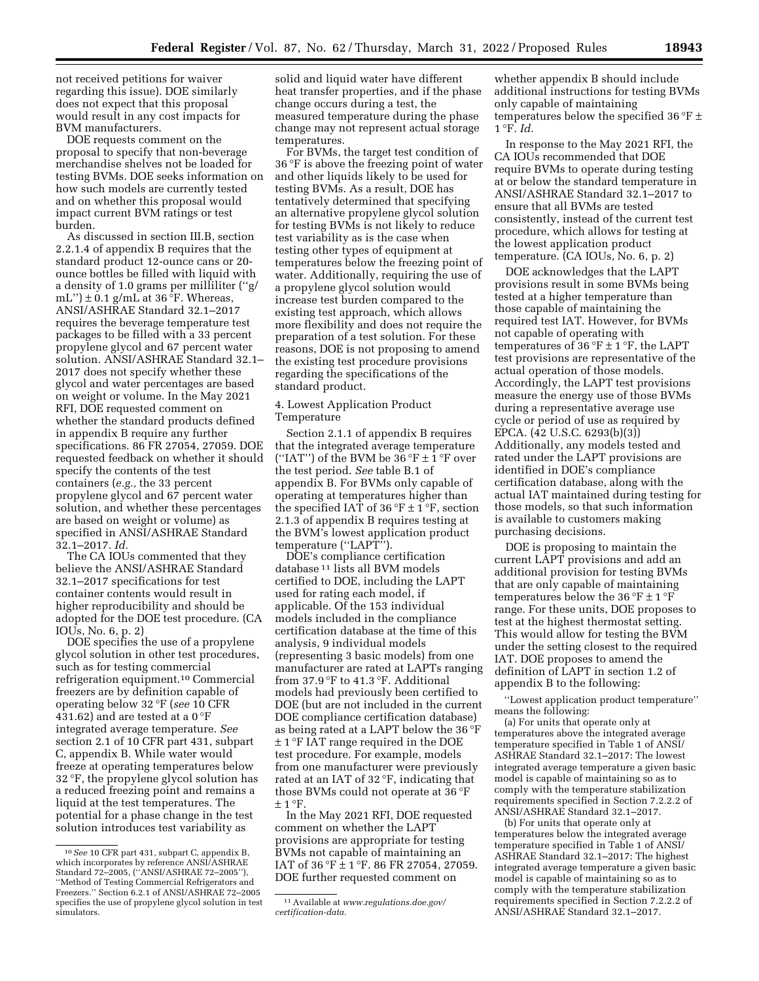not received petitions for waiver regarding this issue). DOE similarly does not expect that this proposal would result in any cost impacts for BVM manufacturers.

DOE requests comment on the proposal to specify that non-beverage merchandise shelves not be loaded for testing BVMs. DOE seeks information on how such models are currently tested and on whether this proposal would impact current BVM ratings or test burden.

As discussed in section III.B, section 2.2.1.4 of appendix B requires that the standard product 12-ounce cans or 20 ounce bottles be filled with liquid with a density of 1.0 grams per milliliter (''g/ mL'')  $\pm$  0.1 g/mL at 36  $\overline{P}$ . Whereas, ANSI/ASHRAE Standard 32.1–2017 requires the beverage temperature test packages to be filled with a 33 percent propylene glycol and 67 percent water solution. ANSI/ASHRAE Standard 32.1– 2017 does not specify whether these glycol and water percentages are based on weight or volume. In the May 2021 RFI, DOE requested comment on whether the standard products defined in appendix B require any further specifications. 86 FR 27054, 27059. DOE requested feedback on whether it should specify the contents of the test containers (*e.g.,* the 33 percent propylene glycol and 67 percent water solution, and whether these percentages are based on weight or volume) as specified in ANSI/ASHRAE Standard 32.1–2017. *Id.* 

The CA IOUs commented that they believe the ANSI/ASHRAE Standard 32.1–2017 specifications for test container contents would result in higher reproducibility and should be adopted for the DOE test procedure. (CA IOUs, No. 6, p. 2)

DOE specifies the use of a propylene glycol solution in other test procedures, such as for testing commercial refrigeration equipment.10 Commercial freezers are by definition capable of operating below 32 °F (*see* 10 CFR 431.62) and are tested at a  $0^{\circ}$ F integrated average temperature. *See*  section 2.1 of 10 CFR part 431, subpart C, appendix B. While water would freeze at operating temperatures below 32 °F, the propylene glycol solution has a reduced freezing point and remains a liquid at the test temperatures. The potential for a phase change in the test solution introduces test variability as

solid and liquid water have different heat transfer properties, and if the phase change occurs during a test, the measured temperature during the phase change may not represent actual storage temperatures.

For BVMs, the target test condition of 36 °F is above the freezing point of water and other liquids likely to be used for testing BVMs. As a result, DOE has tentatively determined that specifying an alternative propylene glycol solution for testing BVMs is not likely to reduce test variability as is the case when testing other types of equipment at temperatures below the freezing point of water. Additionally, requiring the use of a propylene glycol solution would increase test burden compared to the existing test approach, which allows more flexibility and does not require the preparation of a test solution. For these reasons, DOE is not proposing to amend the existing test procedure provisions regarding the specifications of the standard product.

## 4. Lowest Application Product Temperature

Section 2.1.1 of appendix B requires that the integrated average temperature ("IAT") of the BVM be  $36\text{°F} \pm 1\text{°F}$  over the test period. *See* table B.1 of appendix B. For BVMs only capable of operating at temperatures higher than the specified IAT of 36 °F  $\pm$  1 °F, section 2.1.3 of appendix B requires testing at the BVM's lowest application product temperature (''LAPT'').

DOE's compliance certification database 11 lists all BVM models certified to DOE, including the LAPT used for rating each model, if applicable. Of the 153 individual models included in the compliance certification database at the time of this analysis, 9 individual models (representing 3 basic models) from one manufacturer are rated at LAPTs ranging from 37.9 °F to 41.3 °F. Additional models had previously been certified to DOE (but are not included in the current DOE compliance certification database) as being rated at a LAPT below the 36 °F ± 1 °F IAT range required in the DOE test procedure. For example, models from one manufacturer were previously rated at an IAT of 32 °F, indicating that those BVMs could not operate at 36 °F  $\pm$  1 °F.

In the May 2021 RFI, DOE requested comment on whether the LAPT provisions are appropriate for testing BVMs not capable of maintaining an IAT of 36 °F  $\pm$  1 °F. 86 FR 27054, 27059. DOE further requested comment on

whether appendix B should include additional instructions for testing BVMs only capable of maintaining temperatures below the specified 36 °F ± 1 °F. *Id.* 

In response to the May 2021 RFI, the CA IOUs recommended that DOE require BVMs to operate during testing at or below the standard temperature in ANSI/ASHRAE Standard 32.1–2017 to ensure that all BVMs are tested consistently, instead of the current test procedure, which allows for testing at the lowest application product temperature. (CA IOUs, No. 6, p. 2)

DOE acknowledges that the LAPT provisions result in some BVMs being tested at a higher temperature than those capable of maintaining the required test IAT. However, for BVMs not capable of operating with temperatures of  $36 \text{°F} \pm 1 \text{°F}$ , the LAPT test provisions are representative of the actual operation of those models. Accordingly, the LAPT test provisions measure the energy use of those BVMs during a representative average use cycle or period of use as required by EPCA. (42 U.S.C. 6293(b)(3)) Additionally, any models tested and rated under the LAPT provisions are identified in DOE's compliance certification database, along with the actual IAT maintained during testing for those models, so that such information is available to customers making purchasing decisions.

DOE is proposing to maintain the current LAPT provisions and add an additional provision for testing BVMs that are only capable of maintaining temperatures below the  $36 \degree F \pm 1 \degree F$ range. For these units, DOE proposes to test at the highest thermostat setting. This would allow for testing the BVM under the setting closest to the required IAT. DOE proposes to amend the definition of LAPT in section 1.2 of appendix B to the following:

''Lowest application product temperature'' means the following:

(a) For units that operate only at temperatures above the integrated average temperature specified in Table 1 of ANSI/ ASHRAE Standard 32.1–2017: The lowest integrated average temperature a given basic model is capable of maintaining so as to comply with the temperature stabilization requirements specified in Section 7.2.2.2 of ANSI/ASHRAE Standard 32.1–2017.

(b) For units that operate only at temperatures below the integrated average temperature specified in Table 1 of ANSI/ ASHRAE Standard 32.1–2017: The highest integrated average temperature a given basic model is capable of maintaining so as to comply with the temperature stabilization requirements specified in Section 7.2.2.2 of ANSI/ASHRAE Standard 32.1–2017.

<sup>10</sup>*See* 10 CFR part 431, subpart C, appendix B, which incorporates by reference ANSI/ASHRAE Standard 72–2005, (''ANSI/ASHRAE 72–2005''), ''Method of Testing Commercial Refrigerators and Freezers.'' Section 6.2.1 of ANSI/ASHRAE 72–2005 specifies the use of propylene glycol solution in test simulators.

<sup>11</sup>Available at *[www.regulations.doe.gov/](http://www.regulations.doe.gov/certification-data)  [certification-data.](http://www.regulations.doe.gov/certification-data)*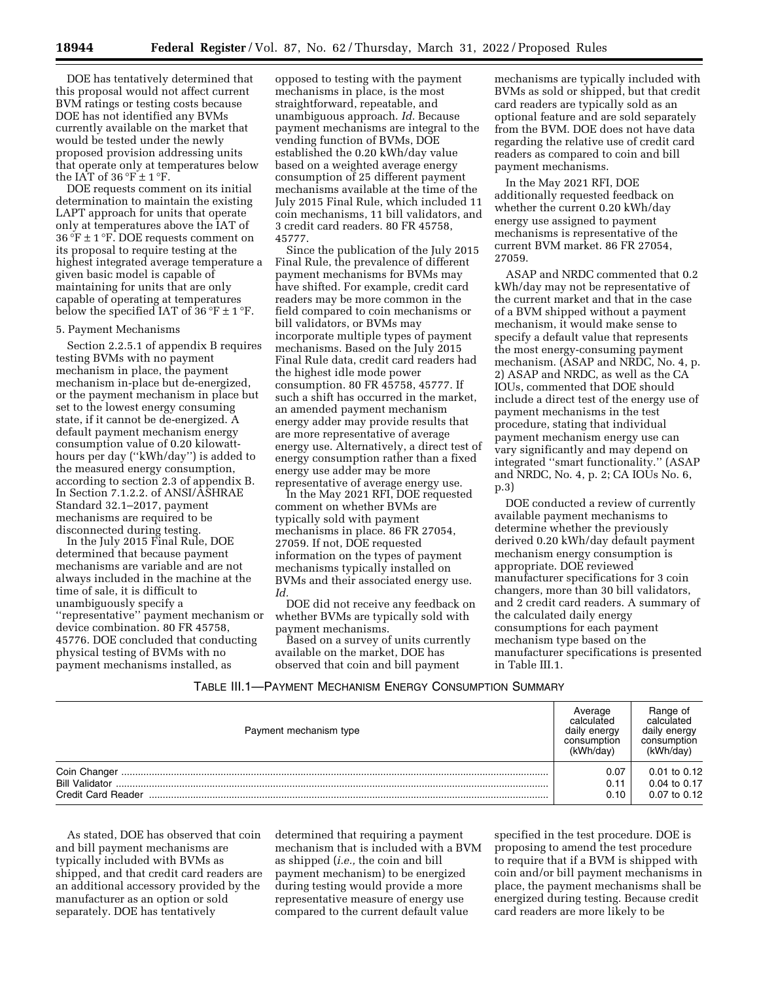DOE has tentatively determined that this proposal would not affect current BVM ratings or testing costs because DOE has not identified any BVMs currently available on the market that would be tested under the newly proposed provision addressing units that operate only at temperatures below the IAT of  $36 \degree F \pm 1 \degree F$ .

DOE requests comment on its initial determination to maintain the existing LAPT approach for units that operate only at temperatures above the IAT of 36 °F  $\pm$  1 °F. DOE requests comment on its proposal to require testing at the highest integrated average temperature a given basic model is capable of maintaining for units that are only capable of operating at temperatures below the specified IAT of  $36 \degree F \pm 1 \degree F$ .

#### 5. Payment Mechanisms

Section 2.2.5.1 of appendix B requires testing BVMs with no payment mechanism in place, the payment mechanism in-place but de-energized, or the payment mechanism in place but set to the lowest energy consuming state, if it cannot be de-energized. A default payment mechanism energy consumption value of 0.20 kilowatthours per day (''kWh/day'') is added to the measured energy consumption, according to section 2.3 of appendix B. In Section 7.1.2.2. of ANSI/ASHRAE Standard 32.1–2017, payment mechanisms are required to be disconnected during testing.

In the July 2015 Final Rule, DOE determined that because payment mechanisms are variable and are not always included in the machine at the time of sale, it is difficult to unambiguously specify a ''representative'' payment mechanism or device combination. 80 FR 45758, 45776. DOE concluded that conducting physical testing of BVMs with no payment mechanisms installed, as

opposed to testing with the payment mechanisms in place, is the most straightforward, repeatable, and unambiguous approach. *Id.* Because payment mechanisms are integral to the vending function of BVMs, DOE established the 0.20 kWh/day value based on a weighted average energy consumption of 25 different payment mechanisms available at the time of the July 2015 Final Rule, which included 11 coin mechanisms, 11 bill validators, and 3 credit card readers. 80 FR 45758, 45777.

Since the publication of the July 2015 Final Rule, the prevalence of different payment mechanisms for BVMs may have shifted. For example, credit card readers may be more common in the field compared to coin mechanisms or bill validators, or BVMs may incorporate multiple types of payment mechanisms. Based on the July 2015 Final Rule data, credit card readers had the highest idle mode power consumption. 80 FR 45758, 45777. If such a shift has occurred in the market, an amended payment mechanism energy adder may provide results that are more representative of average energy use. Alternatively, a direct test of energy consumption rather than a fixed energy use adder may be more representative of average energy use.

In the May 2021 RFI, DOE requested comment on whether BVMs are typically sold with payment mechanisms in place. 86 FR 27054, 27059. If not, DOE requested information on the types of payment mechanisms typically installed on BVMs and their associated energy use. *Id.* 

DOE did not receive any feedback on whether BVMs are typically sold with payment mechanisms.

Based on a survey of units currently available on the market, DOE has observed that coin and bill payment

mechanisms are typically included with BVMs as sold or shipped, but that credit card readers are typically sold as an optional feature and are sold separately from the BVM. DOE does not have data regarding the relative use of credit card readers as compared to coin and bill payment mechanisms.

In the May 2021 RFI, DOE additionally requested feedback on whether the current 0.20 kWh/day energy use assigned to payment mechanisms is representative of the current BVM market. 86 FR 27054, 27059.

ASAP and NRDC commented that 0.2 kWh/day may not be representative of the current market and that in the case of a BVM shipped without a payment mechanism, it would make sense to specify a default value that represents the most energy-consuming payment mechanism. (ASAP and NRDC, No. 4, p. 2) ASAP and NRDC, as well as the CA IOUs, commented that DOE should include a direct test of the energy use of payment mechanisms in the test procedure, stating that individual payment mechanism energy use can vary significantly and may depend on integrated ''smart functionality.'' (ASAP and NRDC, No. 4, p. 2; CA IOUs No. 6, p.3)

DOE conducted a review of currently available payment mechanisms to determine whether the previously derived 0.20 kWh/day default payment mechanism energy consumption is appropriate. DOE reviewed manufacturer specifications for 3 coin changers, more than 30 bill validators, and 2 credit card readers. A summary of the calculated daily energy consumptions for each payment mechanism type based on the manufacturer specifications is presented in Table III.1.

## TABLE III.1—PAYMENT MECHANISM ENERGY CONSUMPTION SUMMARY

| Payment mechanism type                                      | calculatec<br>daily energy<br>consumption<br>(kWh/dav | Range of<br>calculated<br>daily energy<br>consumption<br>(kWh/day) |
|-------------------------------------------------------------|-------------------------------------------------------|--------------------------------------------------------------------|
| Coin Changer<br><b>Bill Validator</b><br>Credit Card Reader | 0.07<br>0.11<br>0.10                                  | 0.01 to 0.12<br>$0.04$ to $0.17$<br>$0.07$ to $0.12$               |

As stated, DOE has observed that coin and bill payment mechanisms are typically included with BVMs as shipped, and that credit card readers are an additional accessory provided by the manufacturer as an option or sold separately. DOE has tentatively

determined that requiring a payment mechanism that is included with a BVM as shipped (*i.e.,* the coin and bill payment mechanism) to be energized during testing would provide a more representative measure of energy use compared to the current default value

specified in the test procedure. DOE is proposing to amend the test procedure to require that if a BVM is shipped with coin and/or bill payment mechanisms in place, the payment mechanisms shall be energized during testing. Because credit card readers are more likely to be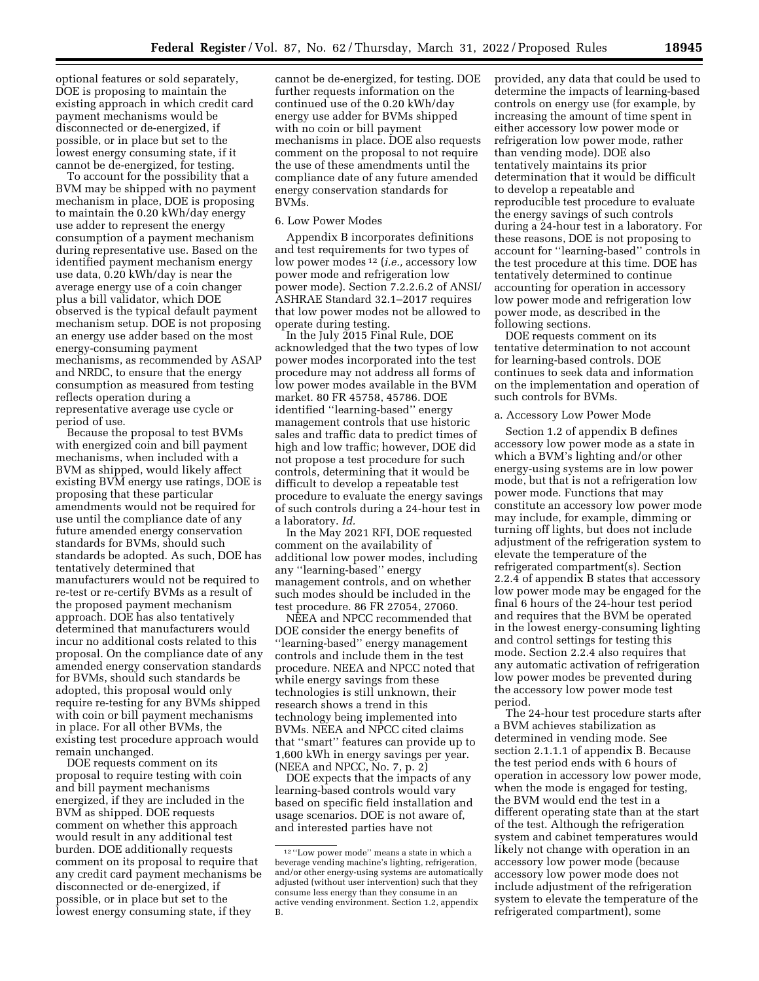optional features or sold separately, DOE is proposing to maintain the existing approach in which credit card payment mechanisms would be disconnected or de-energized, if possible, or in place but set to the lowest energy consuming state, if it cannot be de-energized, for testing.

To account for the possibility that a BVM may be shipped with no payment mechanism in place, DOE is proposing to maintain the 0.20 kWh/day energy use adder to represent the energy consumption of a payment mechanism during representative use. Based on the identified payment mechanism energy use data, 0.20 kWh/day is near the average energy use of a coin changer plus a bill validator, which DOE observed is the typical default payment mechanism setup. DOE is not proposing an energy use adder based on the most energy-consuming payment mechanisms, as recommended by ASAP and NRDC, to ensure that the energy consumption as measured from testing reflects operation during a representative average use cycle or period of use.

Because the proposal to test BVMs with energized coin and bill payment mechanisms, when included with a BVM as shipped, would likely affect existing BVM energy use ratings, DOE is proposing that these particular amendments would not be required for use until the compliance date of any future amended energy conservation standards for BVMs, should such standards be adopted. As such, DOE has tentatively determined that manufacturers would not be required to re-test or re-certify BVMs as a result of the proposed payment mechanism approach. DOE has also tentatively determined that manufacturers would incur no additional costs related to this proposal. On the compliance date of any amended energy conservation standards for BVMs, should such standards be adopted, this proposal would only require re-testing for any BVMs shipped with coin or bill payment mechanisms in place. For all other BVMs, the existing test procedure approach would remain unchanged.

DOE requests comment on its proposal to require testing with coin and bill payment mechanisms energized, if they are included in the BVM as shipped. DOE requests comment on whether this approach would result in any additional test burden. DOE additionally requests comment on its proposal to require that any credit card payment mechanisms be disconnected or de-energized, if possible, or in place but set to the lowest energy consuming state, if they

cannot be de-energized, for testing. DOE further requests information on the continued use of the 0.20 kWh/day energy use adder for BVMs shipped with no coin or bill payment mechanisms in place. DOE also requests comment on the proposal to not require the use of these amendments until the compliance date of any future amended energy conservation standards for BVMs.

### 6. Low Power Modes

Appendix B incorporates definitions and test requirements for two types of low power modes 12 (*i.e.,* accessory low power mode and refrigeration low power mode). Section 7.2.2.6.2 of ANSI/ ASHRAE Standard 32.1–2017 requires that low power modes not be allowed to operate during testing.

In the July 2015 Final Rule, DOE acknowledged that the two types of low power modes incorporated into the test procedure may not address all forms of low power modes available in the BVM market. 80 FR 45758, 45786. DOE identified ''learning-based'' energy management controls that use historic sales and traffic data to predict times of high and low traffic; however, DOE did not propose a test procedure for such controls, determining that it would be difficult to develop a repeatable test procedure to evaluate the energy savings of such controls during a 24-hour test in a laboratory. *Id.* 

In the May 2021 RFI, DOE requested comment on the availability of additional low power modes, including any ''learning-based'' energy management controls, and on whether such modes should be included in the test procedure. 86 FR 27054, 27060.

NEEA and NPCC recommended that DOE consider the energy benefits of ''learning-based'' energy management controls and include them in the test procedure. NEEA and NPCC noted that while energy savings from these technologies is still unknown, their research shows a trend in this technology being implemented into BVMs. NEEA and NPCC cited claims that ''smart'' features can provide up to 1,600 kWh in energy savings per year. (NEEA and NPCC, No. 7, p. 2)

DOE expects that the impacts of any learning-based controls would vary based on specific field installation and usage scenarios. DOE is not aware of, and interested parties have not

provided, any data that could be used to determine the impacts of learning-based controls on energy use (for example, by increasing the amount of time spent in either accessory low power mode or refrigeration low power mode, rather than vending mode). DOE also tentatively maintains its prior determination that it would be difficult to develop a repeatable and reproducible test procedure to evaluate the energy savings of such controls during a 24-hour test in a laboratory. For these reasons, DOE is not proposing to account for ''learning-based'' controls in the test procedure at this time. DOE has tentatively determined to continue accounting for operation in accessory low power mode and refrigeration low power mode, as described in the following sections.

DOE requests comment on its tentative determination to not account for learning-based controls. DOE continues to seek data and information on the implementation and operation of such controls for BVMs.

## a. Accessory Low Power Mode

Section 1.2 of appendix B defines accessory low power mode as a state in which a BVM's lighting and/or other energy-using systems are in low power mode, but that is not a refrigeration low power mode. Functions that may constitute an accessory low power mode may include, for example, dimming or turning off lights, but does not include adjustment of the refrigeration system to elevate the temperature of the refrigerated compartment(s). Section 2.2.4 of appendix B states that accessory low power mode may be engaged for the final 6 hours of the 24-hour test period and requires that the BVM be operated in the lowest energy-consuming lighting and control settings for testing this mode. Section 2.2.4 also requires that any automatic activation of refrigeration low power modes be prevented during the accessory low power mode test period.

The 24-hour test procedure starts after a BVM achieves stabilization as determined in vending mode. See section 2.1.1.1 of appendix B. Because the test period ends with 6 hours of operation in accessory low power mode, when the mode is engaged for testing, the BVM would end the test in a different operating state than at the start of the test. Although the refrigeration system and cabinet temperatures would likely not change with operation in an accessory low power mode (because accessory low power mode does not include adjustment of the refrigeration system to elevate the temperature of the refrigerated compartment), some

<sup>12</sup> ''Low power mode'' means a state in which a beverage vending machine's lighting, refrigeration, and/or other energy-using systems are automatically adjusted (without user intervention) such that they consume less energy than they consume in an active vending environment. Section 1.2, appendix B.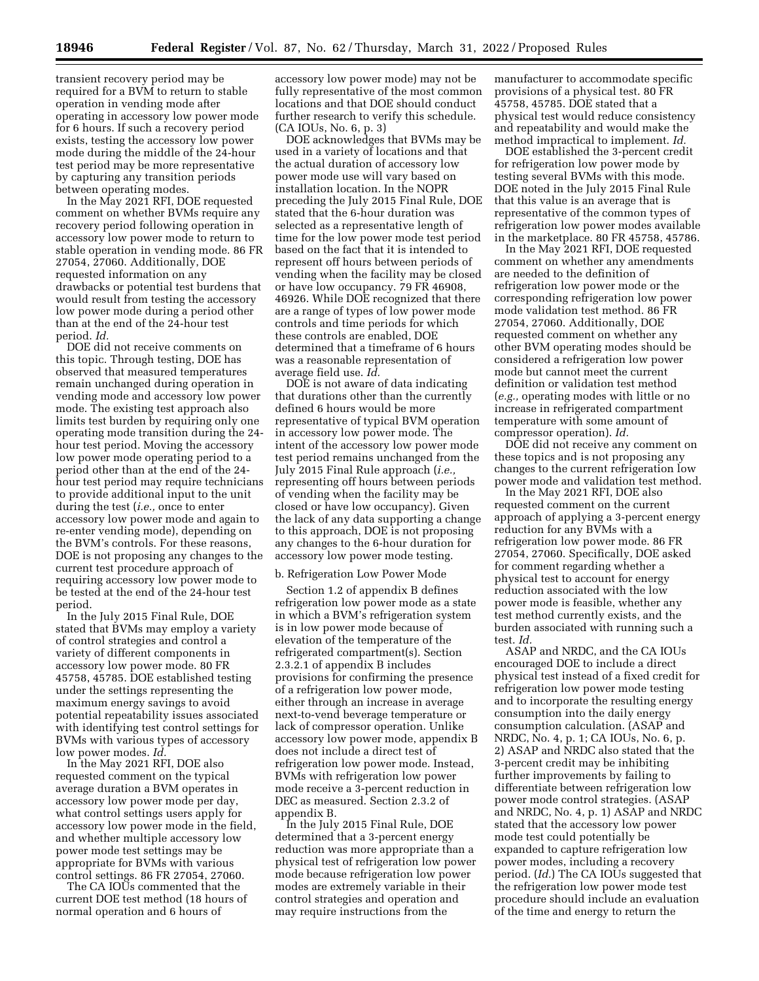transient recovery period may be required for a BVM to return to stable operation in vending mode after operating in accessory low power mode for 6 hours. If such a recovery period exists, testing the accessory low power mode during the middle of the 24-hour test period may be more representative by capturing any transition periods between operating modes.

In the May 2021 RFI, DOE requested comment on whether BVMs require any recovery period following operation in accessory low power mode to return to stable operation in vending mode. 86 FR 27054, 27060. Additionally, DOE requested information on any drawbacks or potential test burdens that would result from testing the accessory low power mode during a period other than at the end of the 24-hour test period. *Id.* 

DOE did not receive comments on this topic. Through testing, DOE has observed that measured temperatures remain unchanged during operation in vending mode and accessory low power mode. The existing test approach also limits test burden by requiring only one operating mode transition during the 24 hour test period. Moving the accessory low power mode operating period to a period other than at the end of the 24 hour test period may require technicians to provide additional input to the unit during the test (*i.e.,* once to enter accessory low power mode and again to re-enter vending mode), depending on the BVM's controls. For these reasons, DOE is not proposing any changes to the current test procedure approach of requiring accessory low power mode to be tested at the end of the 24-hour test period.

In the July 2015 Final Rule, DOE stated that BVMs may employ a variety of control strategies and control a variety of different components in accessory low power mode. 80 FR 45758, 45785. DOE established testing under the settings representing the maximum energy savings to avoid potential repeatability issues associated with identifying test control settings for BVMs with various types of accessory low power modes. *Id.* 

In the May 2021 RFI, DOE also requested comment on the typical average duration a BVM operates in accessory low power mode per day, what control settings users apply for accessory low power mode in the field, and whether multiple accessory low power mode test settings may be appropriate for BVMs with various control settings. 86 FR 27054, 27060.

The CA IOUs commented that the current DOE test method (18 hours of normal operation and 6 hours of

accessory low power mode) may not be fully representative of the most common locations and that DOE should conduct further research to verify this schedule. (CA IOUs, No. 6, p. 3)

DOE acknowledges that BVMs may be used in a variety of locations and that the actual duration of accessory low power mode use will vary based on installation location. In the NOPR preceding the July 2015 Final Rule, DOE stated that the 6-hour duration was selected as a representative length of time for the low power mode test period based on the fact that it is intended to represent off hours between periods of vending when the facility may be closed or have low occupancy. 79 FR 46908, 46926. While DOE recognized that there are a range of types of low power mode controls and time periods for which these controls are enabled, DOE determined that a timeframe of 6 hours was a reasonable representation of average field use. *Id.* 

DOE is not aware of data indicating that durations other than the currently defined 6 hours would be more representative of typical BVM operation in accessory low power mode. The intent of the accessory low power mode test period remains unchanged from the July 2015 Final Rule approach (*i.e.,*  representing off hours between periods of vending when the facility may be closed or have low occupancy). Given the lack of any data supporting a change to this approach, DOE is not proposing any changes to the 6-hour duration for accessory low power mode testing.

#### b. Refrigeration Low Power Mode

Section 1.2 of appendix B defines refrigeration low power mode as a state in which a BVM's refrigeration system is in low power mode because of elevation of the temperature of the refrigerated compartment(s). Section 2.3.2.1 of appendix B includes provisions for confirming the presence of a refrigeration low power mode, either through an increase in average next-to-vend beverage temperature or lack of compressor operation. Unlike accessory low power mode, appendix B does not include a direct test of refrigeration low power mode. Instead, BVMs with refrigeration low power mode receive a 3-percent reduction in DEC as measured. Section 2.3.2 of appendix B.

In the July 2015 Final Rule, DOE determined that a 3-percent energy reduction was more appropriate than a physical test of refrigeration low power mode because refrigeration low power modes are extremely variable in their control strategies and operation and may require instructions from the

manufacturer to accommodate specific provisions of a physical test. 80 FR 45758, 45785. DOE stated that a physical test would reduce consistency and repeatability and would make the method impractical to implement. *Id.* 

DOE established the 3-percent credit for refrigeration low power mode by testing several BVMs with this mode. DOE noted in the July 2015 Final Rule that this value is an average that is representative of the common types of refrigeration low power modes available in the marketplace. 80 FR 45758, 45786.

In the May 2021 RFI, DOE requested comment on whether any amendments are needed to the definition of refrigeration low power mode or the corresponding refrigeration low power mode validation test method. 86 FR 27054, 27060. Additionally, DOE requested comment on whether any other BVM operating modes should be considered a refrigeration low power mode but cannot meet the current definition or validation test method (*e.g.,* operating modes with little or no increase in refrigerated compartment temperature with some amount of compressor operation). *Id.* 

DOE did not receive any comment on these topics and is not proposing any changes to the current refrigeration low power mode and validation test method.

In the May 2021 RFI, DOE also requested comment on the current approach of applying a 3-percent energy reduction for any BVMs with a refrigeration low power mode. 86 FR 27054, 27060. Specifically, DOE asked for comment regarding whether a physical test to account for energy reduction associated with the low power mode is feasible, whether any test method currently exists, and the burden associated with running such a test. *Id.* 

ASAP and NRDC, and the CA IOUs encouraged DOE to include a direct physical test instead of a fixed credit for refrigeration low power mode testing and to incorporate the resulting energy consumption into the daily energy consumption calculation. (ASAP and NRDC, No. 4, p. 1; CA IOUs, No. 6, p. 2) ASAP and NRDC also stated that the 3-percent credit may be inhibiting further improvements by failing to differentiate between refrigeration low power mode control strategies. (ASAP and NRDC, No. 4, p. 1) ASAP and NRDC stated that the accessory low power mode test could potentially be expanded to capture refrigeration low power modes, including a recovery period. (*Id.*) The CA IOUs suggested that the refrigeration low power mode test procedure should include an evaluation of the time and energy to return the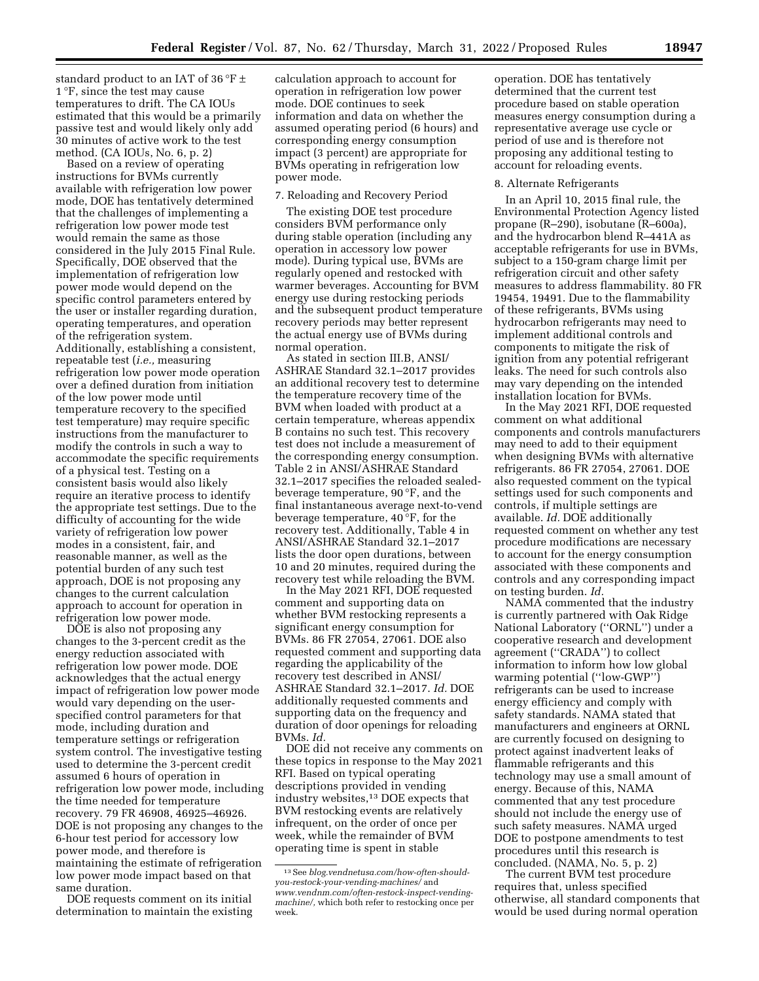standard product to an IAT of 36 °F  $\pm$ 1 °F, since the test may cause temperatures to drift. The CA IOUs estimated that this would be a primarily passive test and would likely only add 30 minutes of active work to the test method. (CA IOUs, No. 6, p. 2)

Based on a review of operating instructions for BVMs currently available with refrigeration low power mode, DOE has tentatively determined that the challenges of implementing a refrigeration low power mode test would remain the same as those considered in the July 2015 Final Rule. Specifically, DOE observed that the implementation of refrigeration low power mode would depend on the specific control parameters entered by the user or installer regarding duration, operating temperatures, and operation of the refrigeration system. Additionally, establishing a consistent, repeatable test (*i.e.,* measuring refrigeration low power mode operation over a defined duration from initiation of the low power mode until temperature recovery to the specified test temperature) may require specific instructions from the manufacturer to modify the controls in such a way to accommodate the specific requirements of a physical test. Testing on a consistent basis would also likely require an iterative process to identify the appropriate test settings. Due to the difficulty of accounting for the wide variety of refrigeration low power modes in a consistent, fair, and reasonable manner, as well as the potential burden of any such test approach, DOE is not proposing any changes to the current calculation approach to account for operation in refrigeration low power mode.

DOE is also not proposing any changes to the 3-percent credit as the energy reduction associated with refrigeration low power mode. DOE acknowledges that the actual energy impact of refrigeration low power mode would vary depending on the userspecified control parameters for that mode, including duration and temperature settings or refrigeration system control. The investigative testing used to determine the 3-percent credit assumed 6 hours of operation in refrigeration low power mode, including the time needed for temperature recovery. 79 FR 46908, 46925–46926. DOE is not proposing any changes to the 6-hour test period for accessory low power mode, and therefore is maintaining the estimate of refrigeration low power mode impact based on that same duration.

DOE requests comment on its initial determination to maintain the existing

calculation approach to account for operation in refrigeration low power mode. DOE continues to seek information and data on whether the assumed operating period (6 hours) and corresponding energy consumption impact (3 percent) are appropriate for BVMs operating in refrigeration low power mode.

#### 7. Reloading and Recovery Period

The existing DOE test procedure considers BVM performance only during stable operation (including any operation in accessory low power mode). During typical use, BVMs are regularly opened and restocked with warmer beverages. Accounting for BVM energy use during restocking periods and the subsequent product temperature recovery periods may better represent the actual energy use of BVMs during normal operation.

As stated in section III.B, ANSI/ ASHRAE Standard 32.1–2017 provides an additional recovery test to determine the temperature recovery time of the BVM when loaded with product at a certain temperature, whereas appendix B contains no such test. This recovery test does not include a measurement of the corresponding energy consumption. Table 2 in ANSI/ASHRAE Standard 32.1–2017 specifies the reloaded sealedbeverage temperature, 90 °F, and the final instantaneous average next-to-vend beverage temperature, 40 °F, for the recovery test. Additionally, Table 4 in ANSI/ASHRAE Standard 32.1–2017 lists the door open durations, between 10 and 20 minutes, required during the recovery test while reloading the BVM.

In the May 2021 RFI, DOE requested comment and supporting data on whether BVM restocking represents a significant energy consumption for BVMs. 86 FR 27054, 27061. DOE also requested comment and supporting data regarding the applicability of the recovery test described in ANSI/ ASHRAE Standard 32.1–2017. *Id.* DOE additionally requested comments and supporting data on the frequency and duration of door openings for reloading BVMs. *Id.* 

DOE did not receive any comments on these topics in response to the May 2021 RFI. Based on typical operating descriptions provided in vending industry websites,13 DOE expects that BVM restocking events are relatively infrequent, on the order of once per week, while the remainder of BVM operating time is spent in stable

operation. DOE has tentatively determined that the current test procedure based on stable operation measures energy consumption during a representative average use cycle or period of use and is therefore not proposing any additional testing to account for reloading events.

## 8. Alternate Refrigerants

In an April 10, 2015 final rule, the Environmental Protection Agency listed propane (R–290), isobutane (R–600a), and the hydrocarbon blend R–441A as acceptable refrigerants for use in BVMs, subject to a 150-gram charge limit per refrigeration circuit and other safety measures to address flammability. 80 FR 19454, 19491. Due to the flammability of these refrigerants, BVMs using hydrocarbon refrigerants may need to implement additional controls and components to mitigate the risk of ignition from any potential refrigerant leaks. The need for such controls also may vary depending on the intended installation location for BVMs.

In the May 2021 RFI, DOE requested comment on what additional components and controls manufacturers may need to add to their equipment when designing BVMs with alternative refrigerants. 86 FR 27054, 27061. DOE also requested comment on the typical settings used for such components and controls, if multiple settings are available. *Id.* DOE additionally requested comment on whether any test procedure modifications are necessary to account for the energy consumption associated with these components and controls and any corresponding impact on testing burden. *Id.* 

NAMA commented that the industry is currently partnered with Oak Ridge National Laboratory (''ORNL'') under a cooperative research and development agreement (''CRADA'') to collect information to inform how low global warming potential (''low-GWP'') refrigerants can be used to increase energy efficiency and comply with safety standards. NAMA stated that manufacturers and engineers at ORNL are currently focused on designing to protect against inadvertent leaks of flammable refrigerants and this technology may use a small amount of energy. Because of this, NAMA commented that any test procedure should not include the energy use of such safety measures. NAMA urged DOE to postpone amendments to test procedures until this research is concluded. (NAMA, No. 5, p. 2)

The current BVM test procedure requires that, unless specified otherwise, all standard components that would be used during normal operation

<sup>13</sup>See *blog.vendnetusa.com/how-often-shouldyou-restock-your-vending-machines/* and *[www.vendnm.com/often-restock-inspect-vending](https://www.vendnm.com/often-restock-inspect-vending-machine/)[machine/,](https://www.vendnm.com/often-restock-inspect-vending-machine/)* which both refer to restocking once per week.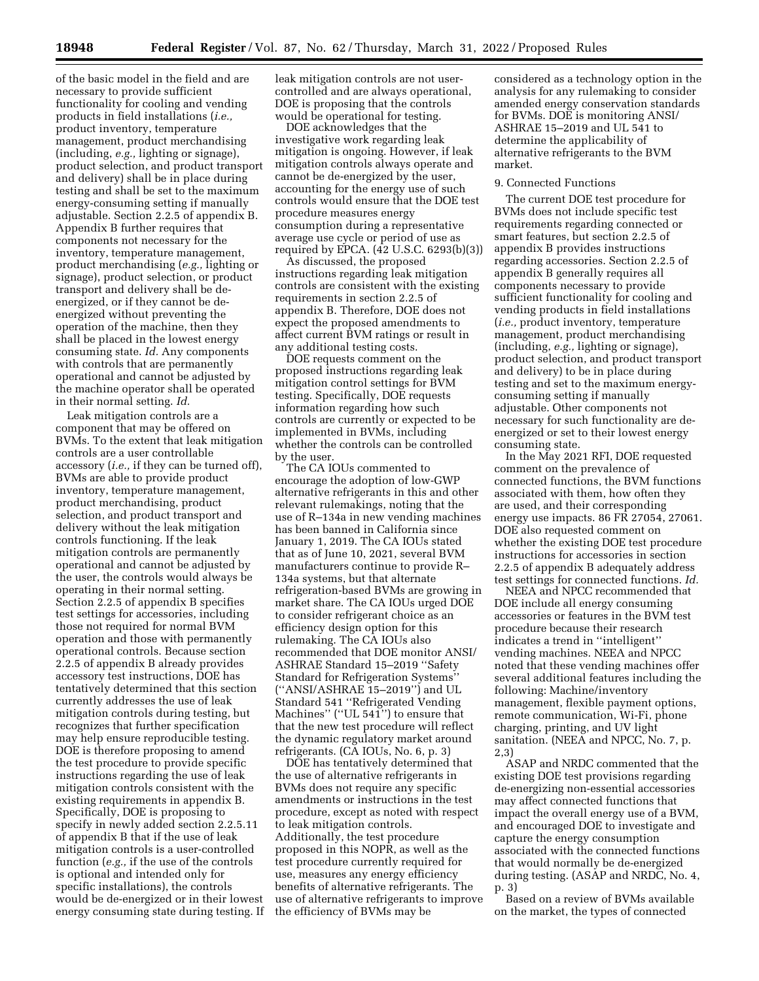of the basic model in the field and are necessary to provide sufficient functionality for cooling and vending products in field installations (*i.e.,*  product inventory, temperature management, product merchandising (including, *e.g.,* lighting or signage), product selection, and product transport and delivery) shall be in place during testing and shall be set to the maximum energy-consuming setting if manually adjustable. Section 2.2.5 of appendix B. Appendix B further requires that components not necessary for the inventory, temperature management, product merchandising (*e.g.,* lighting or signage), product selection, or product transport and delivery shall be deenergized, or if they cannot be deenergized without preventing the operation of the machine, then they shall be placed in the lowest energy consuming state. *Id.* Any components with controls that are permanently operational and cannot be adjusted by the machine operator shall be operated in their normal setting. *Id.* 

Leak mitigation controls are a component that may be offered on BVMs. To the extent that leak mitigation controls are a user controllable accessory (*i.e.,* if they can be turned off), BVMs are able to provide product inventory, temperature management, product merchandising, product selection, and product transport and delivery without the leak mitigation controls functioning. If the leak mitigation controls are permanently operational and cannot be adjusted by the user, the controls would always be operating in their normal setting. Section 2.2.5 of appendix B specifies test settings for accessories, including those not required for normal BVM operation and those with permanently operational controls. Because section 2.2.5 of appendix B already provides accessory test instructions, DOE has tentatively determined that this section currently addresses the use of leak mitigation controls during testing, but recognizes that further specification may help ensure reproducible testing. DOE is therefore proposing to amend the test procedure to provide specific instructions regarding the use of leak mitigation controls consistent with the existing requirements in appendix B. Specifically, DOE is proposing to specify in newly added section 2.2.5.11 of appendix B that if the use of leak mitigation controls is a user-controlled function (*e.g.,* if the use of the controls is optional and intended only for specific installations), the controls would be de-energized or in their lowest energy consuming state during testing. If leak mitigation controls are not usercontrolled and are always operational, DOE is proposing that the controls would be operational for testing.

DOE acknowledges that the investigative work regarding leak mitigation is ongoing. However, if leak mitigation controls always operate and cannot be de-energized by the user, accounting for the energy use of such controls would ensure that the DOE test procedure measures energy consumption during a representative average use cycle or period of use as required by EPCA. (42 U.S.C. 6293(b)(3))

As discussed, the proposed instructions regarding leak mitigation controls are consistent with the existing requirements in section 2.2.5 of appendix B. Therefore, DOE does not expect the proposed amendments to affect current BVM ratings or result in any additional testing costs.

DOE requests comment on the proposed instructions regarding leak mitigation control settings for BVM testing. Specifically, DOE requests information regarding how such controls are currently or expected to be implemented in BVMs, including whether the controls can be controlled by the user.

The CA IOUs commented to encourage the adoption of low-GWP alternative refrigerants in this and other relevant rulemakings, noting that the use of R–134a in new vending machines has been banned in California since January 1, 2019. The CA IOUs stated that as of June 10, 2021, several BVM manufacturers continue to provide R– 134a systems, but that alternate refrigeration-based BVMs are growing in market share. The CA IOUs urged DOE to consider refrigerant choice as an efficiency design option for this rulemaking. The CA IOUs also recommended that DOE monitor ANSI/ ASHRAE Standard 15–2019 ''Safety Standard for Refrigeration Systems'' (''ANSI/ASHRAE 15–2019'') and UL Standard 541 ''Refrigerated Vending Machines'' (''UL 541'') to ensure that that the new test procedure will reflect the dynamic regulatory market around refrigerants. (CA IOUs, No. 6, p. 3)

DOE has tentatively determined that the use of alternative refrigerants in BVMs does not require any specific amendments or instructions in the test procedure, except as noted with respect to leak mitigation controls. Additionally, the test procedure proposed in this NOPR, as well as the test procedure currently required for use, measures any energy efficiency benefits of alternative refrigerants. The use of alternative refrigerants to improve the efficiency of BVMs may be

considered as a technology option in the analysis for any rulemaking to consider amended energy conservation standards for BVMs. DOE is monitoring ANSI/ ASHRAE 15–2019 and UL 541 to determine the applicability of alternative refrigerants to the BVM market.

#### 9. Connected Functions

The current DOE test procedure for BVMs does not include specific test requirements regarding connected or smart features, but section 2.2.5 of appendix B provides instructions regarding accessories. Section 2.2.5 of appendix B generally requires all components necessary to provide sufficient functionality for cooling and vending products in field installations (*i.e.,* product inventory, temperature management, product merchandising (including, *e.g.,* lighting or signage), product selection, and product transport and delivery) to be in place during testing and set to the maximum energyconsuming setting if manually adjustable. Other components not necessary for such functionality are deenergized or set to their lowest energy consuming state.

In the May 2021 RFI, DOE requested comment on the prevalence of connected functions, the BVM functions associated with them, how often they are used, and their corresponding energy use impacts. 86 FR 27054, 27061. DOE also requested comment on whether the existing DOE test procedure instructions for accessories in section 2.2.5 of appendix B adequately address test settings for connected functions. *Id.* 

NEEA and NPCC recommended that DOE include all energy consuming accessories or features in the BVM test procedure because their research indicates a trend in ''intelligent'' vending machines. NEEA and NPCC noted that these vending machines offer several additional features including the following: Machine/inventory management, flexible payment options, remote communication, Wi-Fi, phone charging, printing, and UV light sanitation. (NEEA and NPCC, No. 7, p. 2,3)

ASAP and NRDC commented that the existing DOE test provisions regarding de-energizing non-essential accessories may affect connected functions that impact the overall energy use of a BVM, and encouraged DOE to investigate and capture the energy consumption associated with the connected functions that would normally be de-energized during testing. (ASAP and NRDC, No. 4, p. 3)

Based on a review of BVMs available on the market, the types of connected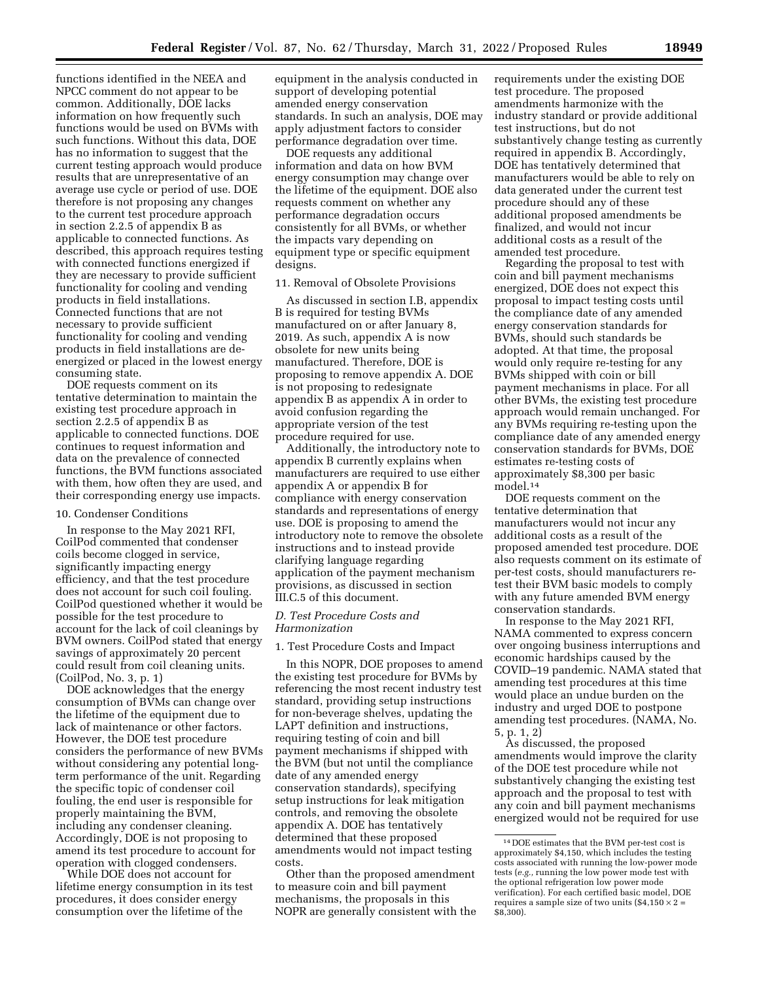functions identified in the NEEA and NPCC comment do not appear to be common. Additionally, DOE lacks information on how frequently such functions would be used on BVMs with such functions. Without this data, DOE has no information to suggest that the current testing approach would produce results that are unrepresentative of an average use cycle or period of use. DOE therefore is not proposing any changes to the current test procedure approach in section 2.2.5 of appendix B as applicable to connected functions. As described, this approach requires testing with connected functions energized if they are necessary to provide sufficient functionality for cooling and vending products in field installations. Connected functions that are not necessary to provide sufficient functionality for cooling and vending products in field installations are deenergized or placed in the lowest energy consuming state.

DOE requests comment on its tentative determination to maintain the existing test procedure approach in section 2.2.5 of appendix B as applicable to connected functions. DOE continues to request information and data on the prevalence of connected functions, the BVM functions associated with them, how often they are used, and their corresponding energy use impacts.

#### 10. Condenser Conditions

In response to the May 2021 RFI, CoilPod commented that condenser coils become clogged in service, significantly impacting energy efficiency, and that the test procedure does not account for such coil fouling. CoilPod questioned whether it would be possible for the test procedure to account for the lack of coil cleanings by BVM owners. CoilPod stated that energy savings of approximately 20 percent could result from coil cleaning units. (CoilPod, No. 3, p. 1)

DOE acknowledges that the energy consumption of BVMs can change over the lifetime of the equipment due to lack of maintenance or other factors. However, the DOE test procedure considers the performance of new BVMs without considering any potential longterm performance of the unit. Regarding the specific topic of condenser coil fouling, the end user is responsible for properly maintaining the BVM, including any condenser cleaning. Accordingly, DOE is not proposing to amend its test procedure to account for operation with clogged condensers.

While DOE does not account for lifetime energy consumption in its test procedures, it does consider energy consumption over the lifetime of the

equipment in the analysis conducted in support of developing potential amended energy conservation standards. In such an analysis, DOE may apply adjustment factors to consider performance degradation over time.

DOE requests any additional information and data on how BVM energy consumption may change over the lifetime of the equipment. DOE also requests comment on whether any performance degradation occurs consistently for all BVMs, or whether the impacts vary depending on equipment type or specific equipment designs.

#### 11. Removal of Obsolete Provisions

As discussed in section I.B, appendix B is required for testing BVMs manufactured on or after January 8, 2019. As such, appendix A is now obsolete for new units being manufactured. Therefore, DOE is proposing to remove appendix A. DOE is not proposing to redesignate appendix B as appendix A in order to avoid confusion regarding the appropriate version of the test procedure required for use.

Additionally, the introductory note to appendix B currently explains when manufacturers are required to use either appendix A or appendix B for compliance with energy conservation standards and representations of energy use. DOE is proposing to amend the introductory note to remove the obsolete instructions and to instead provide clarifying language regarding application of the payment mechanism provisions, as discussed in section III.C.5 of this document.

#### *D. Test Procedure Costs and Harmonization*

## 1. Test Procedure Costs and Impact

In this NOPR, DOE proposes to amend the existing test procedure for BVMs by referencing the most recent industry test standard, providing setup instructions for non-beverage shelves, updating the LAPT definition and instructions, requiring testing of coin and bill payment mechanisms if shipped with the BVM (but not until the compliance date of any amended energy conservation standards), specifying setup instructions for leak mitigation controls, and removing the obsolete appendix A. DOE has tentatively determined that these proposed amendments would not impact testing costs.

Other than the proposed amendment to measure coin and bill payment mechanisms, the proposals in this NOPR are generally consistent with the requirements under the existing DOE test procedure. The proposed amendments harmonize with the industry standard or provide additional test instructions, but do not substantively change testing as currently required in appendix B. Accordingly, DOE has tentatively determined that manufacturers would be able to rely on data generated under the current test procedure should any of these additional proposed amendments be finalized, and would not incur additional costs as a result of the amended test procedure.

Regarding the proposal to test with coin and bill payment mechanisms energized, DOE does not expect this proposal to impact testing costs until the compliance date of any amended energy conservation standards for BVMs, should such standards be adopted. At that time, the proposal would only require re-testing for any BVMs shipped with coin or bill payment mechanisms in place. For all other BVMs, the existing test procedure approach would remain unchanged. For any BVMs requiring re-testing upon the compliance date of any amended energy conservation standards for BVMs, DOE estimates re-testing costs of approximately \$8,300 per basic model.14

DOE requests comment on the tentative determination that manufacturers would not incur any additional costs as a result of the proposed amended test procedure. DOE also requests comment on its estimate of per-test costs, should manufacturers retest their BVM basic models to comply with any future amended BVM energy conservation standards.

In response to the May 2021 RFI, NAMA commented to express concern over ongoing business interruptions and economic hardships caused by the COVID–19 pandemic. NAMA stated that amending test procedures at this time would place an undue burden on the industry and urged DOE to postpone amending test procedures. (NAMA, No. 5, p. 1, 2)

As discussed, the proposed amendments would improve the clarity of the DOE test procedure while not substantively changing the existing test approach and the proposal to test with any coin and bill payment mechanisms energized would not be required for use

<sup>14</sup> DOE estimates that the BVM per-test cost is approximately \$4,150, which includes the testing costs associated with running the low-power mode tests (*e.g.,* running the low power mode test with the optional refrigeration low power mode verification). For each certified basic model, DOE requires a sample size of two units  $(\$4,150 \times 2 =$ \$8,300).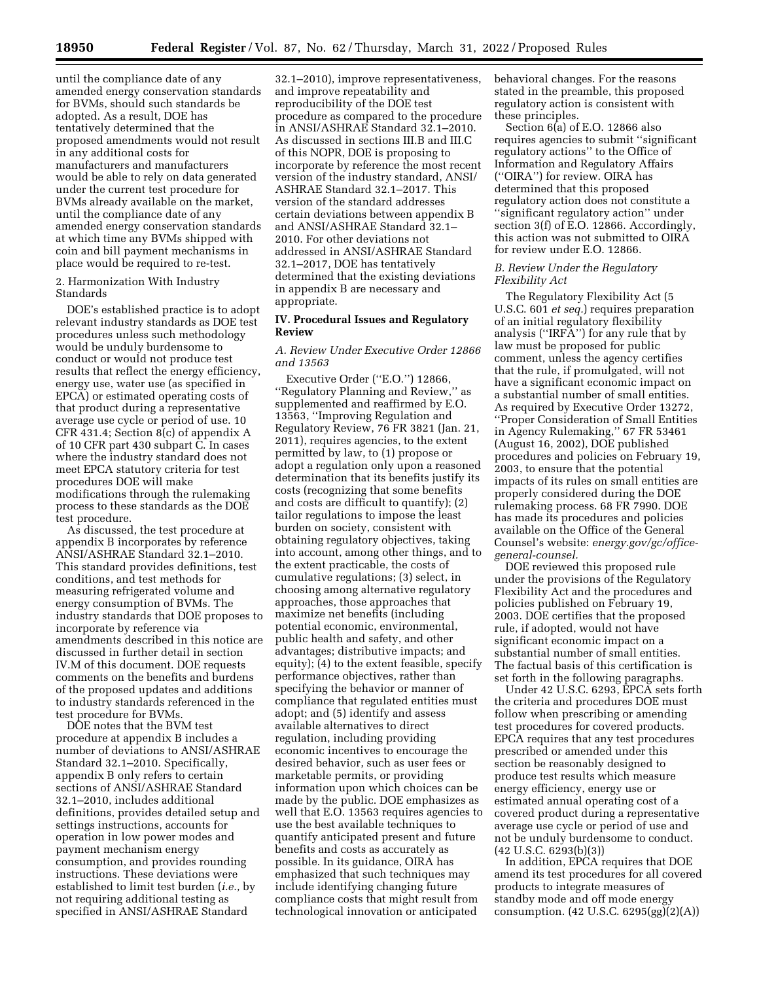until the compliance date of any amended energy conservation standards for BVMs, should such standards be adopted. As a result, DOE has tentatively determined that the proposed amendments would not result in any additional costs for manufacturers and manufacturers would be able to rely on data generated under the current test procedure for BVMs already available on the market, until the compliance date of any amended energy conservation standards at which time any BVMs shipped with coin and bill payment mechanisms in place would be required to re-test.

2. Harmonization With Industry Standards

DOE's established practice is to adopt relevant industry standards as DOE test procedures unless such methodology would be unduly burdensome to conduct or would not produce test results that reflect the energy efficiency, energy use, water use (as specified in EPCA) or estimated operating costs of that product during a representative average use cycle or period of use. 10 CFR 431.4; Section 8(c) of appendix A of 10 CFR part 430 subpart C. In cases where the industry standard does not meet EPCA statutory criteria for test procedures DOE will make modifications through the rulemaking process to these standards as the DOE test procedure.

As discussed, the test procedure at appendix B incorporates by reference ANSI/ASHRAE Standard 32.1–2010. This standard provides definitions, test conditions, and test methods for measuring refrigerated volume and energy consumption of BVMs. The industry standards that DOE proposes to incorporate by reference via amendments described in this notice are discussed in further detail in section IV.M of this document. DOE requests comments on the benefits and burdens of the proposed updates and additions to industry standards referenced in the test procedure for BVMs.

DOE notes that the BVM test procedure at appendix B includes a number of deviations to ANSI/ASHRAE Standard 32.1–2010. Specifically, appendix B only refers to certain sections of ANSI/ASHRAE Standard 32.1–2010, includes additional definitions, provides detailed setup and settings instructions, accounts for operation in low power modes and payment mechanism energy consumption, and provides rounding instructions. These deviations were established to limit test burden (*i.e.,* by not requiring additional testing as specified in ANSI/ASHRAE Standard

32.1–2010), improve representativeness, and improve repeatability and reproducibility of the DOE test procedure as compared to the procedure in ANSI/ASHRAE Standard 32.1–2010. As discussed in sections III.B and III.C of this NOPR, DOE is proposing to incorporate by reference the most recent version of the industry standard, ANSI/ ASHRAE Standard 32.1–2017. This version of the standard addresses certain deviations between appendix B and ANSI/ASHRAE Standard 32.1– 2010. For other deviations not addressed in ANSI/ASHRAE Standard 32.1–2017, DOE has tentatively determined that the existing deviations in appendix B are necessary and appropriate.

## **IV. Procedural Issues and Regulatory Review**

### *A. Review Under Executive Order 12866 and 13563*

Executive Order (''E.O.'') 12866, ''Regulatory Planning and Review,'' as supplemented and reaffirmed by E.O. 13563, ''Improving Regulation and Regulatory Review, 76 FR 3821 (Jan. 21, 2011), requires agencies, to the extent permitted by law, to (1) propose or adopt a regulation only upon a reasoned determination that its benefits justify its costs (recognizing that some benefits and costs are difficult to quantify); (2) tailor regulations to impose the least burden on society, consistent with obtaining regulatory objectives, taking into account, among other things, and to the extent practicable, the costs of cumulative regulations; (3) select, in choosing among alternative regulatory approaches, those approaches that maximize net benefits (including potential economic, environmental, public health and safety, and other advantages; distributive impacts; and equity);  $\overline{4}$  to the extent feasible, specify performance objectives, rather than specifying the behavior or manner of compliance that regulated entities must adopt; and (5) identify and assess available alternatives to direct regulation, including providing economic incentives to encourage the desired behavior, such as user fees or marketable permits, or providing information upon which choices can be made by the public. DOE emphasizes as well that E.O. 13563 requires agencies to use the best available techniques to quantify anticipated present and future benefits and costs as accurately as possible. In its guidance, OIRA has emphasized that such techniques may include identifying changing future compliance costs that might result from technological innovation or anticipated

behavioral changes. For the reasons stated in the preamble, this proposed regulatory action is consistent with these principles.

Section 6(a) of E.O. 12866 also requires agencies to submit ''significant regulatory actions'' to the Office of Information and Regulatory Affairs (''OIRA'') for review. OIRA has determined that this proposed regulatory action does not constitute a ''significant regulatory action'' under section 3(f) of E.O. 12866. Accordingly, this action was not submitted to OIRA for review under E.O. 12866.

### *B. Review Under the Regulatory Flexibility Act*

The Regulatory Flexibility Act (5 U.S.C. 601 *et seq.*) requires preparation of an initial regulatory flexibility analysis (''IRFA'') for any rule that by law must be proposed for public comment, unless the agency certifies that the rule, if promulgated, will not have a significant economic impact on a substantial number of small entities. As required by Executive Order 13272, ''Proper Consideration of Small Entities in Agency Rulemaking,'' 67 FR 53461 (August 16, 2002), DOE published procedures and policies on February 19, 2003, to ensure that the potential impacts of its rules on small entities are properly considered during the DOE rulemaking process. 68 FR 7990. DOE has made its procedures and policies available on the Office of the General Counsel's website: *energy.gov/gc/officegeneral-counsel.* 

DOE reviewed this proposed rule under the provisions of the Regulatory Flexibility Act and the procedures and policies published on February 19, 2003. DOE certifies that the proposed rule, if adopted, would not have significant economic impact on a substantial number of small entities. The factual basis of this certification is set forth in the following paragraphs.

Under 42 U.S.C. 6293, EPCA sets forth the criteria and procedures DOE must follow when prescribing or amending test procedures for covered products. EPCA requires that any test procedures prescribed or amended under this section be reasonably designed to produce test results which measure energy efficiency, energy use or estimated annual operating cost of a covered product during a representative average use cycle or period of use and not be unduly burdensome to conduct. (42 U.S.C. 6293(b)(3))

In addition, EPCA requires that DOE amend its test procedures for all covered products to integrate measures of standby mode and off mode energy consumption. (42 U.S.C. 6295(gg)(2)(A))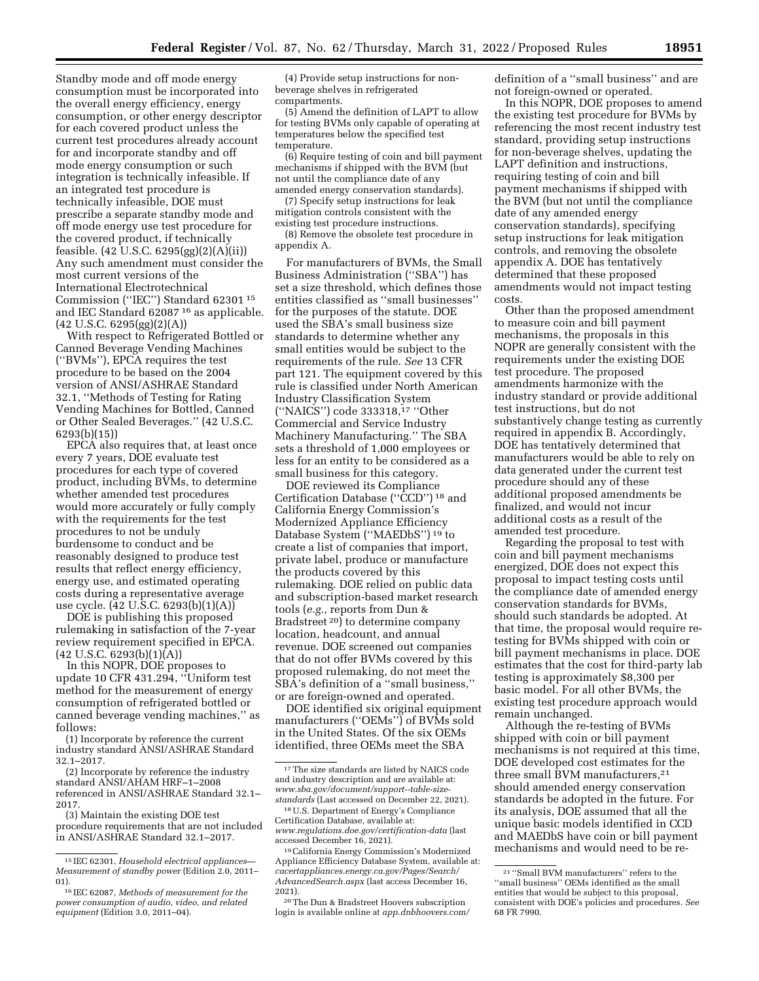Standby mode and off mode energy consumption must be incorporated into the overall energy efficiency, energy consumption, or other energy descriptor for each covered product unless the current test procedures already account for and incorporate standby and off mode energy consumption or such integration is technically infeasible. If an integrated test procedure is technically infeasible, DOE must prescribe a separate standby mode and off mode energy use test procedure for the covered product, if technically feasible. (42 U.S.C. 6295(gg)(2)(A)(ii)) Any such amendment must consider the most current versions of the International Electrotechnical Commission (''IEC'') Standard 62301 15 and IEC Standard 62087 16 as applicable. (42 U.S.C. 6295(gg)(2)(A))

With respect to Refrigerated Bottled or Canned Beverage Vending Machines (''BVMs''), EPCA requires the test procedure to be based on the 2004 version of ANSI/ASHRAE Standard 32.1, ''Methods of Testing for Rating Vending Machines for Bottled, Canned or Other Sealed Beverages.'' (42 U.S.C. 6293(b)(15))

EPCA also requires that, at least once every 7 years, DOE evaluate test procedures for each type of covered product, including BVMs, to determine whether amended test procedures would more accurately or fully comply with the requirements for the test procedures to not be unduly burdensome to conduct and be reasonably designed to produce test results that reflect energy efficiency, energy use, and estimated operating costs during a representative average use cycle. (42 U.S.C. 6293(b)(1)(A))

DOE is publishing this proposed rulemaking in satisfaction of the 7-year review requirement specified in EPCA.  $(42 \text{ U.S.C. } 6293(b)(1)(A))$ 

In this NOPR, DOE proposes to update 10 CFR 431.294, ''Uniform test method for the measurement of energy consumption of refrigerated bottled or canned beverage vending machines,'' as follows:

(1) Incorporate by reference the current industry standard ANSI/ASHRAE Standard 32.1–2017.

(2) Incorporate by reference the industry standard ANSI/AHAM HRF–1–2008 referenced in ANSI/ASHRAE Standard 32.1– 2017.

(3) Maintain the existing DOE test procedure requirements that are not included in ANSI/ASHRAE Standard 32.1–2017.

(4) Provide setup instructions for nonbeverage shelves in refrigerated compartments.

(5) Amend the definition of LAPT to allow for testing BVMs only capable of operating at temperatures below the specified test temperature.

(6) Require testing of coin and bill payment mechanisms if shipped with the BVM (but not until the compliance date of any amended energy conservation standards).

(7) Specify setup instructions for leak mitigation controls consistent with the existing test procedure instructions.

(8) Remove the obsolete test procedure in appendix A.

For manufacturers of BVMs, the Small Business Administration (''SBA'') has set a size threshold, which defines those entities classified as ''small businesses'' for the purposes of the statute. DOE used the SBA's small business size standards to determine whether any small entities would be subject to the requirements of the rule. *See* 13 CFR part 121. The equipment covered by this rule is classified under North American Industry Classification System (''NAICS'') code 333318,17 ''Other Commercial and Service Industry Machinery Manufacturing.'' The SBA sets a threshold of 1,000 employees or less for an entity to be considered as a small business for this category.

DOE reviewed its Compliance Certification Database (''CCD'') 18 and California Energy Commission's Modernized Appliance Efficiency Database System (''MAEDbS'') 19 to create a list of companies that import, private label, produce or manufacture the products covered by this rulemaking. DOE relied on public data and subscription-based market research tools (*e.g.,* reports from Dun & Bradstreet 20) to determine company location, headcount, and annual revenue. DOE screened out companies that do not offer BVMs covered by this proposed rulemaking, do not meet the SBA's definition of a ''small business,'' or are foreign-owned and operated.

DOE identified six original equipment manufacturers (''OEMs'') of BVMs sold in the United States. Of the six OEMs identified, three OEMs meet the SBA

definition of a ''small business'' and are not foreign-owned or operated.

In this NOPR, DOE proposes to amend the existing test procedure for BVMs by referencing the most recent industry test standard, providing setup instructions for non-beverage shelves, updating the LAPT definition and instructions, requiring testing of coin and bill payment mechanisms if shipped with the BVM (but not until the compliance date of any amended energy conservation standards), specifying setup instructions for leak mitigation controls, and removing the obsolete appendix A. DOE has tentatively determined that these proposed amendments would not impact testing costs.

Other than the proposed amendment to measure coin and bill payment mechanisms, the proposals in this NOPR are generally consistent with the requirements under the existing DOE test procedure. The proposed amendments harmonize with the industry standard or provide additional test instructions, but do not substantively change testing as currently required in appendix B. Accordingly, DOE has tentatively determined that manufacturers would be able to rely on data generated under the current test procedure should any of these additional proposed amendments be finalized, and would not incur additional costs as a result of the amended test procedure.

Regarding the proposal to test with coin and bill payment mechanisms energized, DOE does not expect this proposal to impact testing costs until the compliance date of amended energy conservation standards for BVMs, should such standards be adopted. At that time, the proposal would require retesting for BVMs shipped with coin or bill payment mechanisms in place. DOE estimates that the cost for third-party lab testing is approximately \$8,300 per basic model. For all other BVMs, the existing test procedure approach would remain unchanged.

Although the re-testing of BVMs shipped with coin or bill payment mechanisms is not required at this time, DOE developed cost estimates for the three small BVM manufacturers,<sup>21</sup> should amended energy conservation standards be adopted in the future. For its analysis, DOE assumed that all the unique basic models identified in CCD and MAEDbS have coin or bill payment mechanisms and would need to be re-

<sup>15</sup> IEC 62301, *Household electrical appliances— Measurement of standby power* (Edition 2.0, 2011– 01).

<sup>16</sup> IEC 62087, *Methods of measurement for the power consumption of audio, video, and related equipment* (Edition 3.0, 2011–04).

<sup>17</sup>The size standards are listed by NAICS code and industry description and are available at: *[www.sba.gov/document/support--table-size](https://www.sba.gov/document/support--table-size-standards)[standards](https://www.sba.gov/document/support--table-size-standards)* (Last accessed on December 22, 2021).

<sup>18</sup>U.S. Department of Energy's Compliance Certification Database, available at: *[www.regulations.doe.gov/certification-data](http://www.regulations.doe.gov/certification-data)* (last accessed December 16, 2021).

<sup>19</sup>California Energy Commission's Modernized Appliance Efficiency Database System, available at: *cacertappliances.energy.ca.gov/Pages/Search/ AdvancedSearch.aspx* (last access December 16, 2021).

<sup>20</sup>The Dun & Bradstreet Hoovers subscription login is available online at *app.dnbhoovers.com/* 

<sup>21</sup> ''Small BVM manufacturers'' refers to the ''small business'' OEMs identified as the small entities that would be subject to this proposal, consistent with DOE's policies and procedures. *See*  68 FR 7990.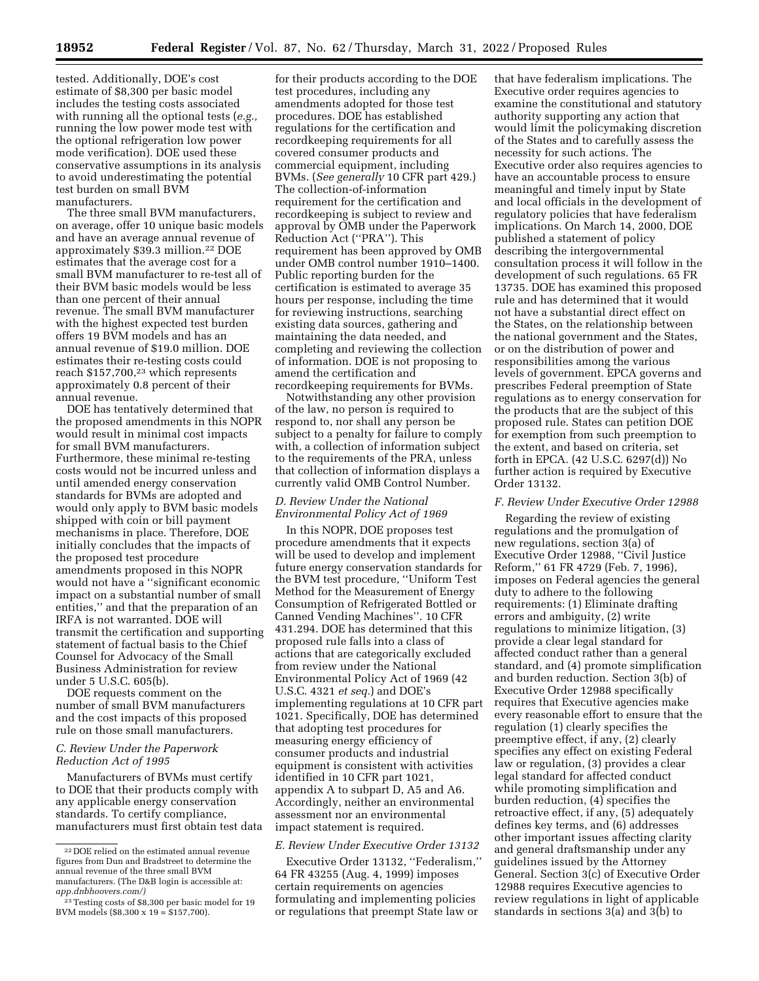tested. Additionally, DOE's cost estimate of \$8,300 per basic model includes the testing costs associated with running all the optional tests (*e.g.,*  running the low power mode test with the optional refrigeration low power mode verification). DOE used these conservative assumptions in its analysis to avoid underestimating the potential test burden on small BVM manufacturers.

The three small BVM manufacturers, on average, offer 10 unique basic models and have an average annual revenue of approximately \$39.3 million.22 DOE estimates that the average cost for a small BVM manufacturer to re-test all of their BVM basic models would be less than one percent of their annual revenue. The small BVM manufacturer with the highest expected test burden offers 19 BVM models and has an annual revenue of \$19.0 million. DOE estimates their re-testing costs could reach \$157,700,23 which represents approximately 0.8 percent of their annual revenue.

DOE has tentatively determined that the proposed amendments in this NOPR would result in minimal cost impacts for small BVM manufacturers. Furthermore, these minimal re-testing costs would not be incurred unless and until amended energy conservation standards for BVMs are adopted and would only apply to BVM basic models shipped with coin or bill payment mechanisms in place. Therefore, DOE initially concludes that the impacts of the proposed test procedure amendments proposed in this NOPR would not have a ''significant economic impact on a substantial number of small entities,'' and that the preparation of an IRFA is not warranted. DOE will transmit the certification and supporting statement of factual basis to the Chief Counsel for Advocacy of the Small Business Administration for review under 5 U.S.C. 605(b).

DOE requests comment on the number of small BVM manufacturers and the cost impacts of this proposed rule on those small manufacturers.

## *C. Review Under the Paperwork Reduction Act of 1995*

Manufacturers of BVMs must certify to DOE that their products comply with any applicable energy conservation standards. To certify compliance, manufacturers must first obtain test data

for their products according to the DOE test procedures, including any amendments adopted for those test procedures. DOE has established regulations for the certification and recordkeeping requirements for all covered consumer products and commercial equipment, including BVMs. (*See generally* 10 CFR part 429.) The collection-of-information requirement for the certification and recordkeeping is subject to review and approval by OMB under the Paperwork Reduction Act (''PRA''). This requirement has been approved by OMB under OMB control number 1910–1400. Public reporting burden for the certification is estimated to average 35 hours per response, including the time for reviewing instructions, searching existing data sources, gathering and maintaining the data needed, and completing and reviewing the collection of information. DOE is not proposing to amend the certification and recordkeeping requirements for BVMs.

Notwithstanding any other provision of the law, no person is required to respond to, nor shall any person be subject to a penalty for failure to comply with, a collection of information subject to the requirements of the PRA, unless that collection of information displays a currently valid OMB Control Number.

## *D. Review Under the National Environmental Policy Act of 1969*

In this NOPR, DOE proposes test procedure amendments that it expects will be used to develop and implement future energy conservation standards for the BVM test procedure, ''Uniform Test Method for the Measurement of Energy Consumption of Refrigerated Bottled or Canned Vending Machines''. 10 CFR 431.294. DOE has determined that this proposed rule falls into a class of actions that are categorically excluded from review under the National Environmental Policy Act of 1969 (42 U.S.C. 4321 *et seq.*) and DOE's implementing regulations at 10 CFR part 1021. Specifically, DOE has determined that adopting test procedures for measuring energy efficiency of consumer products and industrial equipment is consistent with activities identified in 10 CFR part 1021, appendix A to subpart D, A5 and A6. Accordingly, neither an environmental assessment nor an environmental impact statement is required.

#### *E. Review Under Executive Order 13132*

Executive Order 13132, ''Federalism,'' 64 FR 43255 (Aug. 4, 1999) imposes certain requirements on agencies formulating and implementing policies or regulations that preempt State law or

that have federalism implications. The Executive order requires agencies to examine the constitutional and statutory authority supporting any action that would limit the policymaking discretion of the States and to carefully assess the necessity for such actions. The Executive order also requires agencies to have an accountable process to ensure meaningful and timely input by State and local officials in the development of regulatory policies that have federalism implications. On March 14, 2000, DOE published a statement of policy describing the intergovernmental consultation process it will follow in the development of such regulations. 65 FR 13735. DOE has examined this proposed rule and has determined that it would not have a substantial direct effect on the States, on the relationship between the national government and the States, or on the distribution of power and responsibilities among the various levels of government. EPCA governs and prescribes Federal preemption of State regulations as to energy conservation for the products that are the subject of this proposed rule. States can petition DOE for exemption from such preemption to the extent, and based on criteria, set forth in EPCA. (42 U.S.C. 6297(d)) No further action is required by Executive Order 13132.

### *F. Review Under Executive Order 12988*

Regarding the review of existing regulations and the promulgation of new regulations, section 3(a) of Executive Order 12988, ''Civil Justice Reform,'' 61 FR 4729 (Feb. 7, 1996), imposes on Federal agencies the general duty to adhere to the following requirements: (1) Eliminate drafting errors and ambiguity, (2) write regulations to minimize litigation, (3) provide a clear legal standard for affected conduct rather than a general standard, and (4) promote simplification and burden reduction. Section 3(b) of Executive Order 12988 specifically requires that Executive agencies make every reasonable effort to ensure that the regulation (1) clearly specifies the preemptive effect, if any, (2) clearly specifies any effect on existing Federal law or regulation, (3) provides a clear legal standard for affected conduct while promoting simplification and burden reduction, (4) specifies the retroactive effect, if any, (5) adequately defines key terms, and (6) addresses other important issues affecting clarity and general draftsmanship under any guidelines issued by the Attorney General. Section 3(c) of Executive Order 12988 requires Executive agencies to review regulations in light of applicable standards in sections 3(a) and 3(b) to

<sup>22</sup> DOE relied on the estimated annual revenue figures from Dun and Bradstreet to determine the annual revenue of the three small BVM manufacturers. (The D&B login is accessible at: *app.dnbhoovers.com/)* 

<sup>&</sup>lt;sup>23</sup> Testing costs of \$8,300 per basic model for 19 BVM models (\$8,300 x 19 = \$157,700).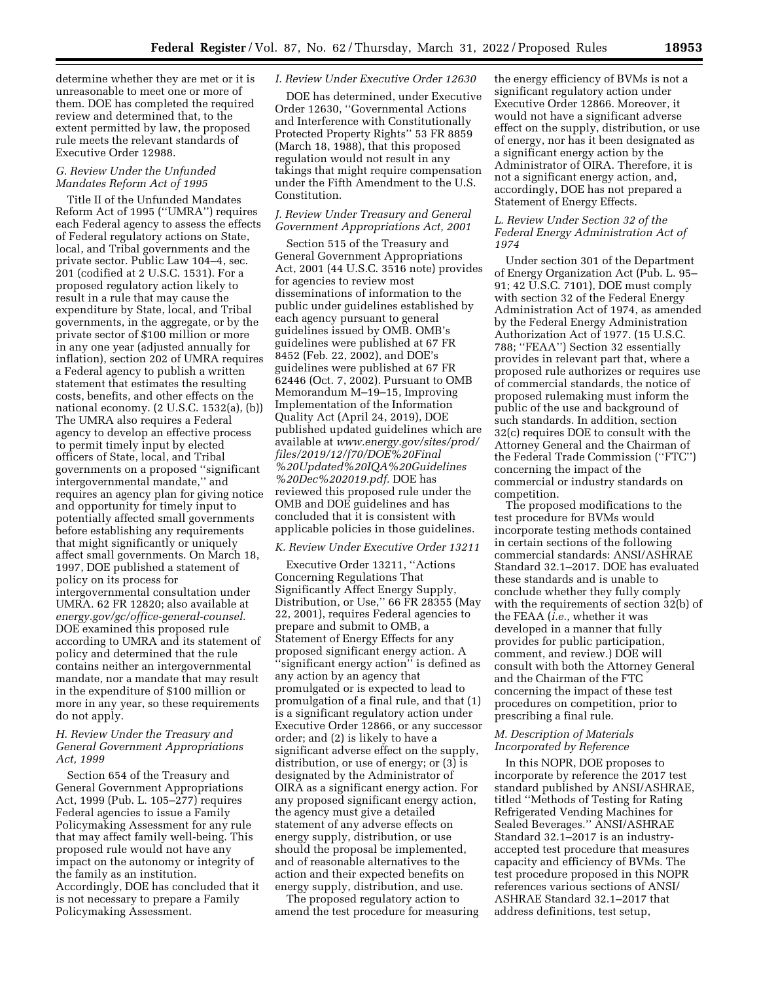determine whether they are met or it is unreasonable to meet one or more of them. DOE has completed the required review and determined that, to the extent permitted by law, the proposed rule meets the relevant standards of Executive Order 12988.

## *G. Review Under the Unfunded Mandates Reform Act of 1995*

Title II of the Unfunded Mandates Reform Act of 1995 (''UMRA'') requires each Federal agency to assess the effects of Federal regulatory actions on State, local, and Tribal governments and the private sector. Public Law 104–4, sec. 201 (codified at 2 U.S.C. 1531). For a proposed regulatory action likely to result in a rule that may cause the expenditure by State, local, and Tribal governments, in the aggregate, or by the private sector of \$100 million or more in any one year (adjusted annually for inflation), section 202 of UMRA requires a Federal agency to publish a written statement that estimates the resulting costs, benefits, and other effects on the national economy. (2 U.S.C. 1532(a), (b)) The UMRA also requires a Federal agency to develop an effective process to permit timely input by elected officers of State, local, and Tribal governments on a proposed ''significant intergovernmental mandate,'' and requires an agency plan for giving notice and opportunity for timely input to potentially affected small governments before establishing any requirements that might significantly or uniquely affect small governments. On March 18, 1997, DOE published a statement of policy on its process for intergovernmental consultation under UMRA. 62 FR 12820; also available at *energy.gov/gc/office-general-counsel.*  DOE examined this proposed rule according to UMRA and its statement of policy and determined that the rule contains neither an intergovernmental mandate, nor a mandate that may result in the expenditure of \$100 million or more in any year, so these requirements do not apply.

## *H. Review Under the Treasury and General Government Appropriations Act, 1999*

Section 654 of the Treasury and General Government Appropriations Act, 1999 (Pub. L. 105–277) requires Federal agencies to issue a Family Policymaking Assessment for any rule that may affect family well-being. This proposed rule would not have any impact on the autonomy or integrity of the family as an institution. Accordingly, DOE has concluded that it is not necessary to prepare a Family Policymaking Assessment.

### *I. Review Under Executive Order 12630*

DOE has determined, under Executive Order 12630, ''Governmental Actions and Interference with Constitutionally Protected Property Rights'' 53 FR 8859 (March 18, 1988), that this proposed regulation would not result in any takings that might require compensation under the Fifth Amendment to the U.S. Constitution.

## *J. Review Under Treasury and General Government Appropriations Act, 2001*

Section 515 of the Treasury and General Government Appropriations Act, 2001 (44 U.S.C. 3516 note) provides for agencies to review most disseminations of information to the public under guidelines established by each agency pursuant to general guidelines issued by OMB. OMB's guidelines were published at 67 FR 8452 (Feb. 22, 2002), and DOE's guidelines were published at 67 FR 62446 (Oct. 7, 2002). Pursuant to OMB Memorandum M–19–15, Improving Implementation of the Information Quality Act (April 24, 2019), DOE published updated guidelines which are available at *[www.energy.gov/sites/prod/](http://www.energy.gov/sites/prod/files/2019/12/f70/DOE%20Final%20Updated%20IQA%20Guidelines%20Dec%202019.pdf)  [files/2019/12/f70/DOE%20Final](http://www.energy.gov/sites/prod/files/2019/12/f70/DOE%20Final%20Updated%20IQA%20Guidelines%20Dec%202019.pdf) [%20Updated%20IQA%20Guidelines](http://www.energy.gov/sites/prod/files/2019/12/f70/DOE%20Final%20Updated%20IQA%20Guidelines%20Dec%202019.pdf) [%20Dec%202019.pdf.](http://www.energy.gov/sites/prod/files/2019/12/f70/DOE%20Final%20Updated%20IQA%20Guidelines%20Dec%202019.pdf)* DOE has reviewed this proposed rule under the OMB and DOE guidelines and has concluded that it is consistent with applicable policies in those guidelines.

#### *K. Review Under Executive Order 13211*

Executive Order 13211, ''Actions Concerning Regulations That Significantly Affect Energy Supply, Distribution, or Use,'' 66 FR 28355 (May 22, 2001), requires Federal agencies to prepare and submit to OMB, a Statement of Energy Effects for any proposed significant energy action. A ''significant energy action'' is defined as any action by an agency that promulgated or is expected to lead to promulgation of a final rule, and that (1) is a significant regulatory action under Executive Order 12866, or any successor order; and (2) is likely to have a significant adverse effect on the supply, distribution, or use of energy; or (3) is designated by the Administrator of OIRA as a significant energy action. For any proposed significant energy action, the agency must give a detailed statement of any adverse effects on energy supply, distribution, or use should the proposal be implemented, and of reasonable alternatives to the action and their expected benefits on energy supply, distribution, and use.

The proposed regulatory action to amend the test procedure for measuring

the energy efficiency of BVMs is not a significant regulatory action under Executive Order 12866. Moreover, it would not have a significant adverse effect on the supply, distribution, or use of energy, nor has it been designated as a significant energy action by the Administrator of OIRA. Therefore, it is not a significant energy action, and, accordingly, DOE has not prepared a Statement of Energy Effects.

#### *L. Review Under Section 32 of the Federal Energy Administration Act of 1974*

Under section 301 of the Department of Energy Organization Act (Pub. L. 95– 91; 42 U.S.C. 7101), DOE must comply with section 32 of the Federal Energy Administration Act of 1974, as amended by the Federal Energy Administration Authorization Act of 1977. (15 U.S.C. 788; ''FEAA'') Section 32 essentially provides in relevant part that, where a proposed rule authorizes or requires use of commercial standards, the notice of proposed rulemaking must inform the public of the use and background of such standards. In addition, section 32(c) requires DOE to consult with the Attorney General and the Chairman of the Federal Trade Commission (''FTC'') concerning the impact of the commercial or industry standards on competition.

The proposed modifications to the test procedure for BVMs would incorporate testing methods contained in certain sections of the following commercial standards: ANSI/ASHRAE Standard 32.1–2017. DOE has evaluated these standards and is unable to conclude whether they fully comply with the requirements of section 32(b) of the FEAA (*i.e.,* whether it was developed in a manner that fully provides for public participation, comment, and review.) DOE will consult with both the Attorney General and the Chairman of the FTC concerning the impact of these test procedures on competition, prior to prescribing a final rule.

## *M. Description of Materials Incorporated by Reference*

In this NOPR, DOE proposes to incorporate by reference the 2017 test standard published by ANSI/ASHRAE, titled ''Methods of Testing for Rating Refrigerated Vending Machines for Sealed Beverages.'' ANSI/ASHRAE Standard 32.1–2017 is an industryaccepted test procedure that measures capacity and efficiency of BVMs. The test procedure proposed in this NOPR references various sections of ANSI/ ASHRAE Standard 32.1–2017 that address definitions, test setup,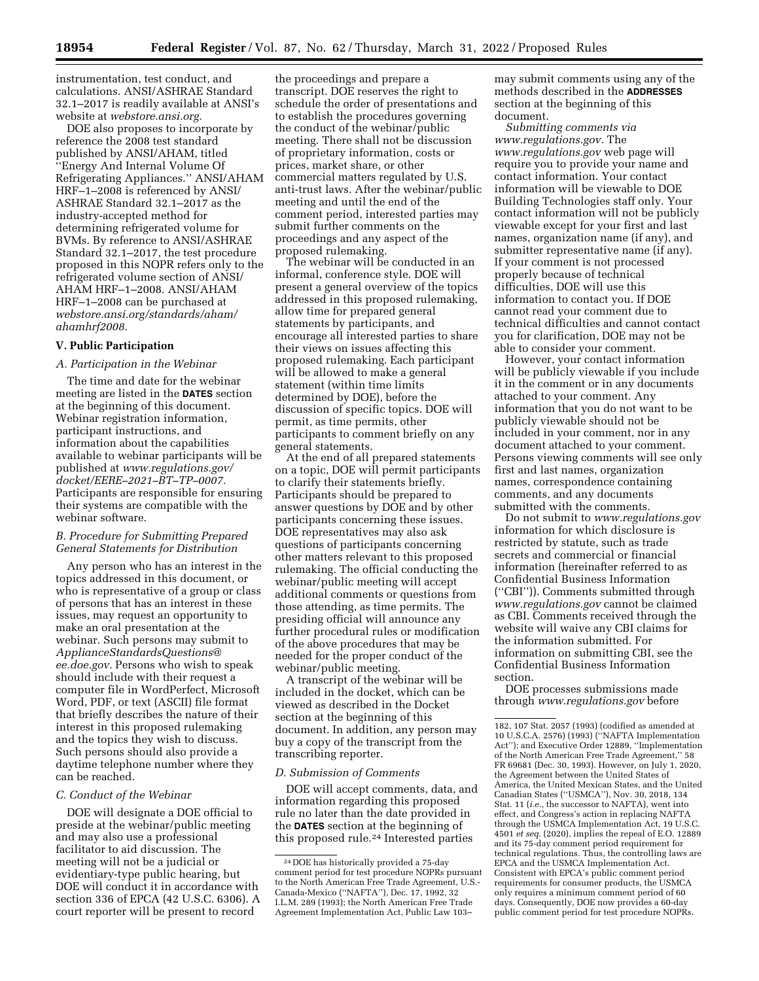instrumentation, test conduct, and calculations. ANSI/ASHRAE Standard 32.1–2017 is readily available at ANSI's website at *webstore.ansi.org.* 

DOE also proposes to incorporate by reference the 2008 test standard published by ANSI/AHAM, titled ''Energy And Internal Volume Of Refrigerating Appliances.'' ANSI/AHAM HRF–1–2008 is referenced by ANSI/ ASHRAE Standard 32.1–2017 as the industry-accepted method for determining refrigerated volume for BVMs. By reference to ANSI/ASHRAE Standard 32.1–2017, the test procedure proposed in this NOPR refers only to the refrigerated volume section of ANSI/ AHAM HRF–1–2008. ANSI/AHAM HRF–1–2008 can be purchased at *webstore.ansi.org/standards/aham/ ahamhrf2008.* 

#### **V. Public Participation**

#### *A. Participation in the Webinar*

The time and date for the webinar meeting are listed in the **DATES** section at the beginning of this document. Webinar registration information, participant instructions, and information about the capabilities available to webinar participants will be published at *[www.regulations.gov/](http://www.regulations.gov/docket/EERE-2021-BT-TP-0007) [docket/EERE–2021–BT–TP–0007.](http://www.regulations.gov/docket/EERE-2021-BT-TP-0007)*  Participants are responsible for ensuring their systems are compatible with the webinar software.

## *B. Procedure for Submitting Prepared General Statements for Distribution*

Any person who has an interest in the topics addressed in this document, or who is representative of a group or class of persons that has an interest in these issues, may request an opportunity to make an oral presentation at the webinar. Such persons may submit to *[ApplianceStandardsQuestions@](mailto:ApplianceStandardsQuestions@ee.doe.gov) [ee.doe.gov.](mailto:ApplianceStandardsQuestions@ee.doe.gov)* Persons who wish to speak should include with their request a computer file in WordPerfect, Microsoft Word, PDF, or text (ASCII) file format that briefly describes the nature of their interest in this proposed rulemaking and the topics they wish to discuss. Such persons should also provide a daytime telephone number where they can be reached.

## *C. Conduct of the Webinar*

DOE will designate a DOE official to preside at the webinar/public meeting and may also use a professional facilitator to aid discussion. The meeting will not be a judicial or evidentiary-type public hearing, but DOE will conduct it in accordance with section 336 of EPCA (42 U.S.C. 6306). A court reporter will be present to record

the proceedings and prepare a transcript. DOE reserves the right to schedule the order of presentations and to establish the procedures governing the conduct of the webinar/public meeting. There shall not be discussion of proprietary information, costs or prices, market share, or other commercial matters regulated by U.S. anti-trust laws. After the webinar/public meeting and until the end of the comment period, interested parties may submit further comments on the proceedings and any aspect of the proposed rulemaking.

The webinar will be conducted in an informal, conference style. DOE will present a general overview of the topics addressed in this proposed rulemaking, allow time for prepared general statements by participants, and encourage all interested parties to share their views on issues affecting this proposed rulemaking. Each participant will be allowed to make a general statement (within time limits determined by DOE), before the discussion of specific topics. DOE will permit, as time permits, other participants to comment briefly on any general statements.

At the end of all prepared statements on a topic, DOE will permit participants to clarify their statements briefly. Participants should be prepared to answer questions by DOE and by other participants concerning these issues. DOE representatives may also ask questions of participants concerning other matters relevant to this proposed rulemaking. The official conducting the webinar/public meeting will accept additional comments or questions from those attending, as time permits. The presiding official will announce any further procedural rules or modification of the above procedures that may be needed for the proper conduct of the webinar/public meeting.

A transcript of the webinar will be included in the docket, which can be viewed as described in the Docket section at the beginning of this document. In addition, any person may buy a copy of the transcript from the transcribing reporter.

### *D. Submission of Comments*

DOE will accept comments, data, and information regarding this proposed rule no later than the date provided in the **DATES** section at the beginning of this proposed rule.24 Interested parties

may submit comments using any of the methods described in the **ADDRESSES** section at the beginning of this document.

*Submitting comments via [www.regulations.gov.](http://www.regulations.gov)* The *[www.regulations.gov](http://www.regulations.gov)* web page will require you to provide your name and contact information. Your contact information will be viewable to DOE Building Technologies staff only. Your contact information will not be publicly viewable except for your first and last names, organization name (if any), and submitter representative name (if any). If your comment is not processed properly because of technical difficulties, DOE will use this information to contact you. If DOE cannot read your comment due to technical difficulties and cannot contact you for clarification, DOE may not be able to consider your comment.

However, your contact information will be publicly viewable if you include it in the comment or in any documents attached to your comment. Any information that you do not want to be publicly viewable should not be included in your comment, nor in any document attached to your comment. Persons viewing comments will see only first and last names, organization names, correspondence containing comments, and any documents submitted with the comments.

Do not submit to *[www.regulations.gov](http://www.regulations.gov)*  information for which disclosure is restricted by statute, such as trade secrets and commercial or financial information (hereinafter referred to as Confidential Business Information (''CBI'')). Comments submitted through *[www.regulations.gov](http://www.regulations.gov)* cannot be claimed as CBI. Comments received through the website will waive any CBI claims for the information submitted. For information on submitting CBI, see the Confidential Business Information section.

DOE processes submissions made through *[www.regulations.gov](http://www.regulations.gov)* before

<sup>24</sup> DOE has historically provided a 75-day comment period for test procedure NOPRs pursuant to the North American Free Trade Agreement, U.S.- Canada-Mexico (''NAFTA''), Dec. 17, 1992, 32 I.L.M. 289 (1993); the North American Free Trade Agreement Implementation Act, Public Law 103–

<sup>182, 107</sup> Stat. 2057 (1993) (codified as amended at 10 U.S.C.A. 2576) (1993) (''NAFTA Implementation Act''); and Executive Order 12889, ''Implementation of the North American Free Trade Agreement,'' 58 FR 69681 (Dec. 30, 1993). However, on July 1, 2020, the Agreement between the United States of America, the United Mexican States, and the United Canadian States (''USMCA''), Nov. 30, 2018, 134 Stat. 11 (*i.e.,* the successor to NAFTA), went into effect, and Congress's action in replacing NAFTA through the USMCA Implementation Act, 19 U.S.C. 4501 *et seq.* (2020), implies the repeal of E.O. 12889 and its 75-day comment period requirement for technical regulations. Thus, the controlling laws are EPCA and the USMCA Implementation Act. Consistent with EPCA's public comment period requirements for consumer products, the USMCA only requires a minimum comment period of 60 days. Consequently, DOE now provides a 60-day public comment period for test procedure NOPRs.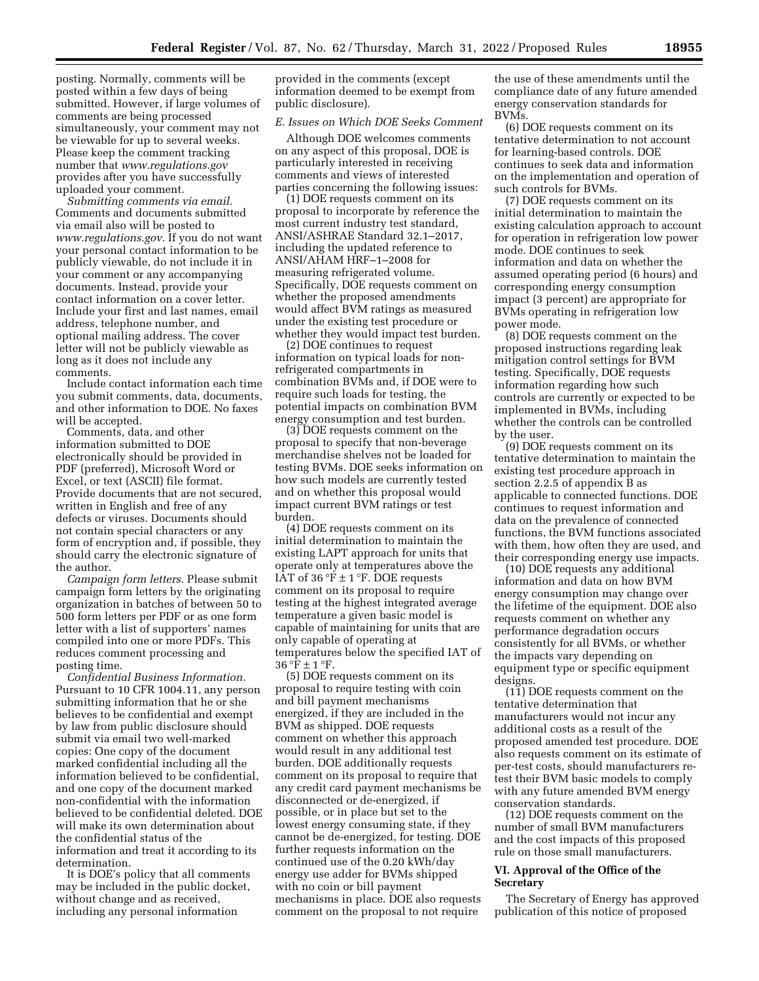posting. Normally, comments will be posted within a few days of being submitted. However, if large volumes of comments are being processed simultaneously, your comment may not be viewable for up to several weeks. Please keep the comment tracking number that *[www.regulations.gov](http://www.regulations.gov)*  provides after you have successfully uploaded your comment.

*Submitting comments via email.*  Comments and documents submitted via email also will be posted to *[www.regulations.gov.](http://www.regulations.gov)* If you do not want your personal contact information to be publicly viewable, do not include it in your comment or any accompanying documents. Instead, provide your contact information on a cover letter. Include your first and last names, email address, telephone number, and optional mailing address. The cover letter will not be publicly viewable as long as it does not include any comments.

Include contact information each time you submit comments, data, documents, and other information to DOE. No faxes will be accepted.

Comments, data, and other information submitted to DOE electronically should be provided in PDF (preferred), Microsoft Word or Excel, or text (ASCII) file format. Provide documents that are not secured, written in English and free of any defects or viruses. Documents should not contain special characters or any form of encryption and, if possible, they should carry the electronic signature of the author.

*Campaign form letters.* Please submit campaign form letters by the originating organization in batches of between 50 to 500 form letters per PDF or as one form letter with a list of supporters' names compiled into one or more PDFs. This reduces comment processing and posting time.

*Confidential Business Information.*  Pursuant to 10 CFR 1004.11, any person submitting information that he or she believes to be confidential and exempt by law from public disclosure should submit via email two well-marked copies: One copy of the document marked confidential including all the information believed to be confidential, and one copy of the document marked non-confidential with the information believed to be confidential deleted. DOE will make its own determination about the confidential status of the information and treat it according to its determination.

It is DOE's policy that all comments may be included in the public docket, without change and as received, including any personal information

provided in the comments (except information deemed to be exempt from public disclosure).

## *E. Issues on Which DOE Seeks Comment*

Although DOE welcomes comments on any aspect of this proposal, DOE is particularly interested in receiving comments and views of interested parties concerning the following issues:

(1) DOE requests comment on its proposal to incorporate by reference the most current industry test standard, ANSI/ASHRAE Standard 32.1–2017, including the updated reference to ANSI/AHAM HRF–1–2008 for measuring refrigerated volume. Specifically, DOE requests comment on whether the proposed amendments would affect BVM ratings as measured under the existing test procedure or whether they would impact test burden.

(2) DOE continues to request information on typical loads for nonrefrigerated compartments in combination BVMs and, if DOE were to require such loads for testing, the potential impacts on combination BVM energy consumption and test burden.

(3) DOE requests comment on the proposal to specify that non-beverage merchandise shelves not be loaded for testing BVMs. DOE seeks information on how such models are currently tested and on whether this proposal would impact current BVM ratings or test burden.

(4) DOE requests comment on its initial determination to maintain the existing LAPT approach for units that operate only at temperatures above the IAT of  $36 \text{°F} \pm 1 \text{°F}$ . DOE requests comment on its proposal to require testing at the highest integrated average temperature a given basic model is capable of maintaining for units that are only capable of operating at temperatures below the specified IAT of  $36 °F \pm 1 °F$ .

(5) DOE requests comment on its proposal to require testing with coin and bill payment mechanisms energized, if they are included in the BVM as shipped. DOE requests comment on whether this approach would result in any additional test burden. DOE additionally requests comment on its proposal to require that any credit card payment mechanisms be disconnected or de-energized, if possible, or in place but set to the lowest energy consuming state, if they cannot be de-energized, for testing. DOE further requests information on the continued use of the 0.20 kWh/day energy use adder for BVMs shipped with no coin or bill payment mechanisms in place. DOE also requests comment on the proposal to not require

the use of these amendments until the compliance date of any future amended energy conservation standards for BVMs.

(6) DOE requests comment on its tentative determination to not account for learning-based controls. DOE continues to seek data and information on the implementation and operation of such controls for BVMs.

(7) DOE requests comment on its initial determination to maintain the existing calculation approach to account for operation in refrigeration low power mode. DOE continues to seek information and data on whether the assumed operating period (6 hours) and corresponding energy consumption impact (3 percent) are appropriate for BVMs operating in refrigeration low power mode.

(8) DOE requests comment on the proposed instructions regarding leak mitigation control settings for BVM testing. Specifically, DOE requests information regarding how such controls are currently or expected to be implemented in BVMs, including whether the controls can be controlled by the user.

(9) DOE requests comment on its tentative determination to maintain the existing test procedure approach in section 2.2.5 of appendix B as applicable to connected functions. DOE continues to request information and data on the prevalence of connected functions, the BVM functions associated with them, how often they are used, and their corresponding energy use impacts.

(10) DOE requests any additional information and data on how BVM energy consumption may change over the lifetime of the equipment. DOE also requests comment on whether any performance degradation occurs consistently for all BVMs, or whether the impacts vary depending on equipment type or specific equipment designs.

(11) DOE requests comment on the tentative determination that manufacturers would not incur any additional costs as a result of the proposed amended test procedure. DOE also requests comment on its estimate of per-test costs, should manufacturers retest their BVM basic models to comply with any future amended BVM energy conservation standards.

(12) DOE requests comment on the number of small BVM manufacturers and the cost impacts of this proposed rule on those small manufacturers.

## **VI. Approval of the Office of the Secretary**

The Secretary of Energy has approved publication of this notice of proposed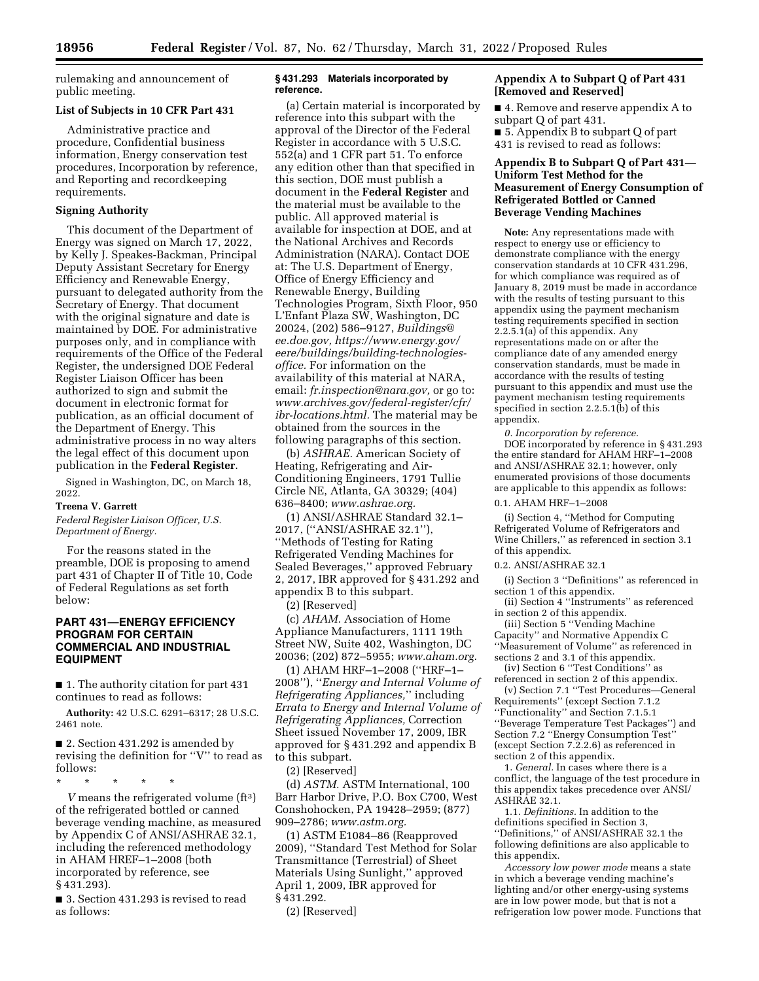rulemaking and announcement of public meeting.

# **List of Subjects in 10 CFR Part 431**

Administrative practice and procedure, Confidential business information, Energy conservation test procedures, Incorporation by reference, and Reporting and recordkeeping requirements.

#### **Signing Authority**

This document of the Department of Energy was signed on March 17, 2022, by Kelly J. Speakes-Backman, Principal Deputy Assistant Secretary for Energy Efficiency and Renewable Energy, pursuant to delegated authority from the Secretary of Energy. That document with the original signature and date is maintained by DOE. For administrative purposes only, and in compliance with requirements of the Office of the Federal Register, the undersigned DOE Federal Register Liaison Officer has been authorized to sign and submit the document in electronic format for publication, as an official document of the Department of Energy. This administrative process in no way alters the legal effect of this document upon publication in the **Federal Register**.

Signed in Washington, DC, on March 18, 2022.

#### **Treena V. Garrett**

*Federal Register Liaison Officer, U.S. Department of Energy.* 

For the reasons stated in the preamble, DOE is proposing to amend part 431 of Chapter II of Title 10, Code of Federal Regulations as set forth below:

## **PART 431—ENERGY EFFICIENCY PROGRAM FOR CERTAIN COMMERCIAL AND INDUSTRIAL EQUIPMENT**

■ 1. The authority citation for part 431 continues to read as follows:

**Authority:** 42 U.S.C. 6291–6317; 28 U.S.C. 2461 note.

■ 2. Section 431.292 is amended by revising the definition for ''V'' to read as follows:

\* \* \* \* \*

*V* means the refrigerated volume (ft3) of the refrigerated bottled or canned beverage vending machine, as measured by Appendix C of ANSI/ASHRAE 32.1, including the referenced methodology in AHAM HREF–1–2008 (both incorporated by reference, see § 431.293).

■ 3. Section 431.293 is revised to read as follows:

### **§ 431.293 Materials incorporated by reference.**

(a) Certain material is incorporated by reference into this subpart with the approval of the Director of the Federal Register in accordance with 5 U.S.C. 552(a) and 1 CFR part 51. To enforce any edition other than that specified in this section, DOE must publish a document in the **Federal Register** and the material must be available to the public. All approved material is available for inspection at DOE, and at the National Archives and Records Administration (NARA). Contact DOE at: The U.S. Department of Energy, Office of Energy Efficiency and Renewable Energy, Building Technologies Program, Sixth Floor, 950 L'Enfant Plaza SW, Washington, DC 20024, (202) 586–9127, *[Buildings@](mailto:Buildings@ee.doe.gov) [ee.doe.gov,](mailto:Buildings@ee.doe.gov) [https://www.energy.gov/](https://www.energy.gov/eere/buildings/building-technologies-office)  [eere/buildings/building-technologies](https://www.energy.gov/eere/buildings/building-technologies-office)[office.](https://www.energy.gov/eere/buildings/building-technologies-office)* For information on the availability of this material at NARA, email: *[fr.inspection@nara.gov,](mailto:fr.inspection@nara.gov)* or go to: *[www.archives.gov/federal-register/cfr/](http://www.archives.gov/federal-register/cfr/ibr-locations.html)  [ibr-locations.html.](http://www.archives.gov/federal-register/cfr/ibr-locations.html)* The material may be obtained from the sources in the following paragraphs of this section.

(b) *ASHRAE.* American Society of Heating, Refrigerating and Air-Conditioning Engineers, 1791 Tullie Circle NE, Atlanta, GA 30329; (404) 636–8400; *[www.ashrae.org.](http://www.ashrae.org)* 

(1) ANSI/ASHRAE Standard 32.1– 2017, (''ANSI/ASHRAE 32.1''), ''Methods of Testing for Rating Refrigerated Vending Machines for Sealed Beverages,'' approved February 2, 2017, IBR approved for § 431.292 and appendix B to this subpart.

(2) [Reserved]

(c) *AHAM.* Association of Home Appliance Manufacturers, 1111 19th Street NW, Suite 402, Washington, DC 20036; (202) 872–5955; *[www.aham.org.](http://www.aham.org)* 

(1) AHAM HRF–1–2008 (''HRF–1– 2008''), ''*Energy and Internal Volume of Refrigerating Appliances,*'' including *Errata to Energy and Internal Volume of Refrigerating Appliances,* Correction Sheet issued November 17, 2009, IBR approved for § 431.292 and appendix B to this subpart.

(2) [Reserved]

(d) *ASTM.* ASTM International, 100 Barr Harbor Drive, P.O. Box C700, West Conshohocken, PA 19428–2959; (877) 909–2786; *[www.astm.org.](http://www.astm.org)* 

(1) ASTM E1084–86 (Reapproved 2009), ''Standard Test Method for Solar Transmittance (Terrestrial) of Sheet Materials Using Sunlight,'' approved April 1, 2009, IBR approved for § 431.292.

## **Appendix A to Subpart Q of Part 431 [Removed and Reserved]**

■ 4. Remove and reserve appendix A to subpart Q of part 431. ■ 5. Appendix B to subpart Q of part 431 is revised to read as follows:

## **Appendix B to Subpart Q of Part 431— Uniform Test Method for the Measurement of Energy Consumption of Refrigerated Bottled or Canned Beverage Vending Machines**

**Note:** Any representations made with respect to energy use or efficiency to demonstrate compliance with the energy conservation standards at 10 CFR 431.296, for which compliance was required as of January 8, 2019 must be made in accordance with the results of testing pursuant to this appendix using the payment mechanism testing requirements specified in section 2.2.5.1(a) of this appendix. Any representations made on or after the compliance date of any amended energy conservation standards, must be made in accordance with the results of testing pursuant to this appendix and must use the payment mechanism testing requirements specified in section 2.2.5.1(b) of this appendix.

*0. Incorporation by reference.*  DOE incorporated by reference in § 431.293 the entire standard for AHAM HRF–1–2008 and ANSI/ASHRAE 32.1; however, only enumerated provisions of those documents are applicable to this appendix as follows: 0.1. AHAM HRF–1–2008

(i) Section 4, ''Method for Computing Refrigerated Volume of Refrigerators and Wine Chillers,'' as referenced in section 3.1 of this appendix.

0.2. ANSI/ASHRAE 32.1

(i) Section 3 ''Definitions'' as referenced in section 1 of this appendix.

(ii) Section 4 ''Instruments'' as referenced in section 2 of this appendix.

(iii) Section 5 ''Vending Machine Capacity'' and Normative Appendix C ''Measurement of Volume'' as referenced in sections 2 and 3.1 of this appendix.

(iv) Section 6 ''Test Conditions'' as referenced in section 2 of this appendix.

(v) Section 7.1 ''Test Procedures—General Requirements'' (except Section 7.1.2 ''Functionality'' and Section 7.1.5.1 ''Beverage Temperature Test Packages'') and Section 7.2 ''Energy Consumption Test'' (except Section 7.2.2.6) as referenced in section 2 of this appendix.

1. *General.* In cases where there is a conflict, the language of the test procedure in this appendix takes precedence over ANSI/ ASHRAE 32.1.

1.1. *Definitions.* In addition to the definitions specified in Section 3, ''Definitions,'' of ANSI/ASHRAE 32.1 the following definitions are also applicable to this appendix.

*Accessory low power mode* means a state in which a beverage vending machine's lighting and/or other energy-using systems are in low power mode, but that is not a refrigeration low power mode. Functions that

<sup>(2) [</sup>Reserved]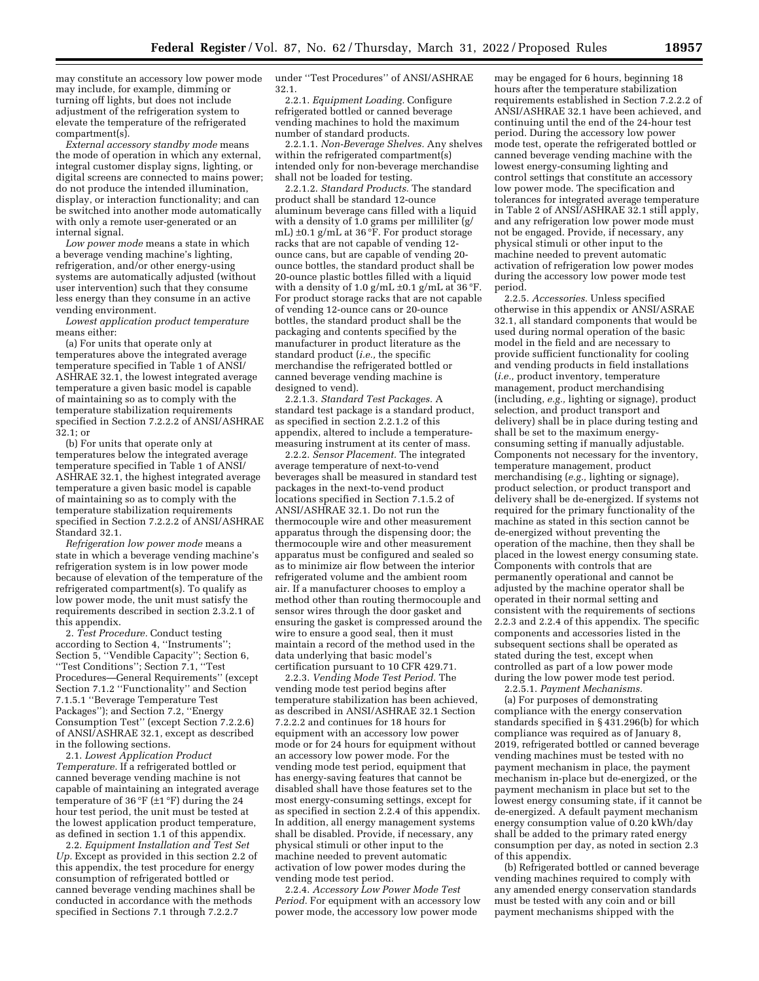may constitute an accessory low power mode may include, for example, dimming or turning off lights, but does not include adjustment of the refrigeration system to elevate the temperature of the refrigerated compartment(s).

*External accessory standby mode* means the mode of operation in which any external, integral customer display signs, lighting, or digital screens are connected to mains power; do not produce the intended illumination, display, or interaction functionality; and can be switched into another mode automatically with only a remote user-generated or an internal signal.

*Low power mode* means a state in which a beverage vending machine's lighting, refrigeration, and/or other energy-using systems are automatically adjusted (without user intervention) such that they consume less energy than they consume in an active vending environment.

*Lowest application product temperature*  means either:

(a) For units that operate only at temperatures above the integrated average temperature specified in Table 1 of ANSI/ ASHRAE 32.1, the lowest integrated average temperature a given basic model is capable of maintaining so as to comply with the temperature stabilization requirements specified in Section 7.2.2.2 of ANSI/ASHRAE 32.1; or

(b) For units that operate only at temperatures below the integrated average temperature specified in Table 1 of ANSI/ ASHRAE 32.1, the highest integrated average temperature a given basic model is capable of maintaining so as to comply with the temperature stabilization requirements specified in Section 7.2.2.2 of ANSI/ASHRAE Standard 32.1.

*Refrigeration low power mode* means a state in which a beverage vending machine's refrigeration system is in low power mode because of elevation of the temperature of the refrigerated compartment(s). To qualify as low power mode, the unit must satisfy the requirements described in section 2.3.2.1 of this appendix.

2. *Test Procedure.* Conduct testing according to Section 4, ''Instruments''; Section 5, ''Vendible Capacity''; Section 6, ''Test Conditions''; Section 7.1, ''Test Procedures—General Requirements'' (except Section 7.1.2 ''Functionality'' and Section 7.1.5.1 ''Beverage Temperature Test Packages''); and Section 7.2, ''Energy Consumption Test'' (except Section 7.2.2.6) of ANSI/ASHRAE 32.1, except as described in the following sections.

2.1. *Lowest Application Product Temperature.* If a refrigerated bottled or canned beverage vending machine is not capable of maintaining an integrated average temperature of 36 °F ( $\pm$ 1 °F) during the 24 hour test period, the unit must be tested at the lowest application product temperature, as defined in section 1.1 of this appendix.

2.2. *Equipment Installation and Test Set Up.* Except as provided in this section 2.2 of this appendix, the test procedure for energy consumption of refrigerated bottled or canned beverage vending machines shall be conducted in accordance with the methods specified in Sections 7.1 through 7.2.2.7

under ''Test Procedures'' of ANSI/ASHRAE 32.1.

2.2.1. *Equipment Loading.* Configure refrigerated bottled or canned beverage vending machines to hold the maximum number of standard products.

2.2.1.1. *Non-Beverage Shelves.* Any shelves within the refrigerated compartment(s) intended only for non-beverage merchandise shall not be loaded for testing.

2.2.1.2. *Standard Products.* The standard product shall be standard 12-ounce aluminum beverage cans filled with a liquid with a density of 1.0 grams per milliliter (g/ mL) ±0.1 g/mL at 36 °F. For product storage racks that are not capable of vending 12 ounce cans, but are capable of vending 20 ounce bottles, the standard product shall be 20-ounce plastic bottles filled with a liquid with a density of 1.0 g/mL  $\pm$ 0.1 g/mL at 36 °F. For product storage racks that are not capable of vending 12-ounce cans or 20-ounce bottles, the standard product shall be the packaging and contents specified by the manufacturer in product literature as the standard product (*i.e.,* the specific merchandise the refrigerated bottled or canned beverage vending machine is designed to vend).

2.2.1.3. *Standard Test Packages.* A standard test package is a standard product, as specified in section 2.2.1.2 of this appendix, altered to include a temperaturemeasuring instrument at its center of mass.

2.2.2. *Sensor Placement.* The integrated average temperature of next-to-vend beverages shall be measured in standard test packages in the next-to-vend product locations specified in Section 7.1.5.2 of ANSI/ASHRAE 32.1. Do not run the thermocouple wire and other measurement apparatus through the dispensing door; the thermocouple wire and other measurement apparatus must be configured and sealed so as to minimize air flow between the interior refrigerated volume and the ambient room air. If a manufacturer chooses to employ a method other than routing thermocouple and sensor wires through the door gasket and ensuring the gasket is compressed around the wire to ensure a good seal, then it must maintain a record of the method used in the data underlying that basic model's certification pursuant to 10 CFR 429.71.

2.2.3. *Vending Mode Test Period.* The vending mode test period begins after temperature stabilization has been achieved, as described in ANSI/ASHRAE 32.1 Section 7.2.2.2 and continues for 18 hours for equipment with an accessory low power mode or for 24 hours for equipment without an accessory low power mode. For the vending mode test period, equipment that has energy-saving features that cannot be disabled shall have those features set to the most energy-consuming settings, except for as specified in section 2.2.4 of this appendix. In addition, all energy management systems shall be disabled. Provide, if necessary, any physical stimuli or other input to the machine needed to prevent automatic activation of low power modes during the vending mode test period.

2.2.4. *Accessory Low Power Mode Test Period.* For equipment with an accessory low power mode, the accessory low power mode

may be engaged for 6 hours, beginning 18 hours after the temperature stabilization requirements established in Section 7.2.2.2 of ANSI/ASHRAE 32.1 have been achieved, and continuing until the end of the 24-hour test period. During the accessory low power mode test, operate the refrigerated bottled or canned beverage vending machine with the lowest energy-consuming lighting and control settings that constitute an accessory low power mode. The specification and tolerances for integrated average temperature in Table 2 of ANSI/ASHRAE 32.1 still apply, and any refrigeration low power mode must not be engaged. Provide, if necessary, any physical stimuli or other input to the machine needed to prevent automatic activation of refrigeration low power modes during the accessory low power mode test period.

2.2.5. *Accessories.* Unless specified otherwise in this appendix or ANSI/ASRAE 32.1, all standard components that would be used during normal operation of the basic model in the field and are necessary to provide sufficient functionality for cooling and vending products in field installations (*i.e.,* product inventory, temperature management, product merchandising (including, *e.g.,* lighting or signage), product selection, and product transport and delivery) shall be in place during testing and shall be set to the maximum energyconsuming setting if manually adjustable. Components not necessary for the inventory, temperature management, product merchandising (*e.g.,* lighting or signage), product selection, or product transport and delivery shall be de-energized. If systems not required for the primary functionality of the machine as stated in this section cannot be de-energized without preventing the operation of the machine, then they shall be placed in the lowest energy consuming state. Components with controls that are permanently operational and cannot be adjusted by the machine operator shall be operated in their normal setting and consistent with the requirements of sections 2.2.3 and 2.2.4 of this appendix. The specific components and accessories listed in the subsequent sections shall be operated as stated during the test, except when controlled as part of a low power mode during the low power mode test period.

2.2.5.1. *Payment Mechanisms.*  (a) For purposes of demonstrating compliance with the energy conservation standards specified in § 431.296(b) for which compliance was required as of January 8, 2019, refrigerated bottled or canned beverage vending machines must be tested with no payment mechanism in place, the payment mechanism in-place but de-energized, or the payment mechanism in place but set to the lowest energy consuming state, if it cannot be de-energized. A default payment mechanism energy consumption value of 0.20 kWh/day shall be added to the primary rated energy consumption per day, as noted in section 2.3

(b) Refrigerated bottled or canned beverage vending machines required to comply with any amended energy conservation standards must be tested with any coin and or bill payment mechanisms shipped with the

of this appendix.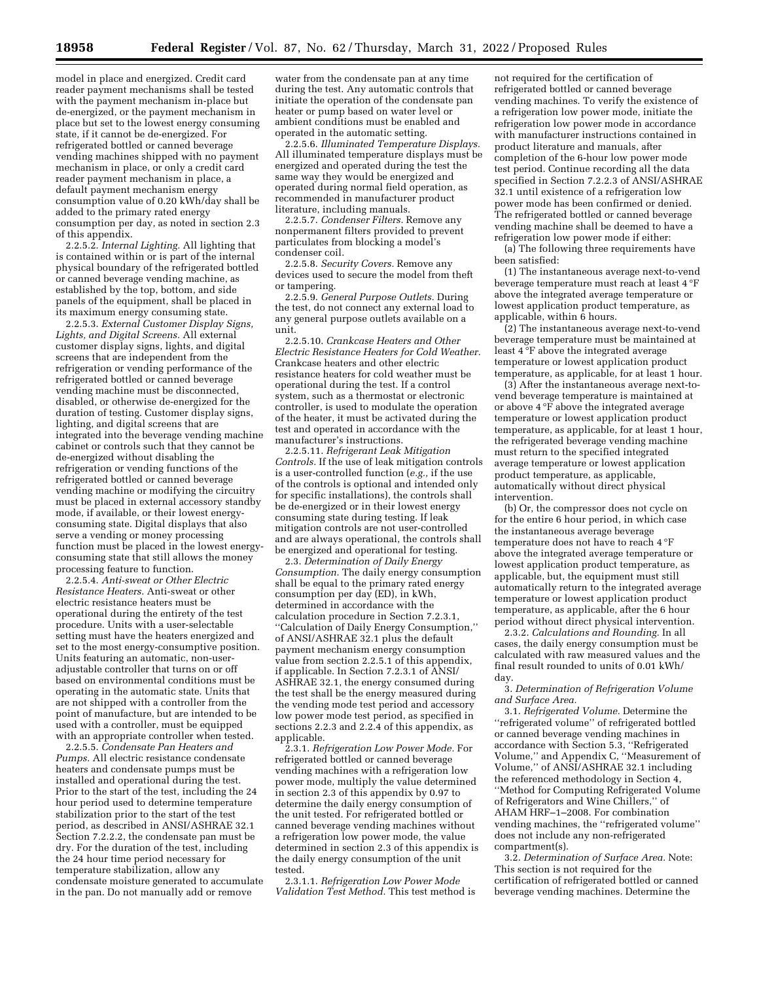model in place and energized. Credit card reader payment mechanisms shall be tested with the payment mechanism in-place but de-energized, or the payment mechanism in place but set to the lowest energy consuming state, if it cannot be de-energized. For refrigerated bottled or canned beverage vending machines shipped with no payment mechanism in place, or only a credit card reader payment mechanism in place, a default payment mechanism energy consumption value of 0.20 kWh/day shall be added to the primary rated energy consumption per day, as noted in section 2.3 of this appendix.

2.2.5.2. *Internal Lighting.* All lighting that is contained within or is part of the internal physical boundary of the refrigerated bottled or canned beverage vending machine, as established by the top, bottom, and side panels of the equipment, shall be placed in its maximum energy consuming state.

2.2.5.3. *External Customer Display Signs, Lights, and Digital Screens.* All external customer display signs, lights, and digital screens that are independent from the refrigeration or vending performance of the refrigerated bottled or canned beverage vending machine must be disconnected, disabled, or otherwise de-energized for the duration of testing. Customer display signs, lighting, and digital screens that are integrated into the beverage vending machine cabinet or controls such that they cannot be de-energized without disabling the refrigeration or vending functions of the refrigerated bottled or canned beverage vending machine or modifying the circuitry must be placed in external accessory standby mode, if available, or their lowest energyconsuming state. Digital displays that also serve a vending or money processing function must be placed in the lowest energyconsuming state that still allows the money processing feature to function.

2.2.5.4. *Anti-sweat or Other Electric Resistance Heaters.* Anti-sweat or other electric resistance heaters must be operational during the entirety of the test procedure. Units with a user-selectable setting must have the heaters energized and set to the most energy-consumptive position. Units featuring an automatic, non-useradjustable controller that turns on or off based on environmental conditions must be operating in the automatic state. Units that are not shipped with a controller from the point of manufacture, but are intended to be used with a controller, must be equipped with an appropriate controller when tested.

2.2.5.5. *Condensate Pan Heaters and Pumps.* All electric resistance condensate heaters and condensate pumps must be installed and operational during the test. Prior to the start of the test, including the 24 hour period used to determine temperature stabilization prior to the start of the test period, as described in ANSI/ASHRAE 32.1 Section 7.2.2.2, the condensate pan must be dry. For the duration of the test, including the 24 hour time period necessary for temperature stabilization, allow any condensate moisture generated to accumulate in the pan. Do not manually add or remove

water from the condensate pan at any time during the test. Any automatic controls that initiate the operation of the condensate pan heater or pump based on water level or ambient conditions must be enabled and operated in the automatic setting.

2.2.5.6. *Illuminated Temperature Displays.*  All illuminated temperature displays must be energized and operated during the test the same way they would be energized and operated during normal field operation, as recommended in manufacturer product literature, including manuals.

2.2.5.7. *Condenser Filters.* Remove any nonpermanent filters provided to prevent particulates from blocking a model's condenser coil.

2.2.5.8. *Security Covers.* Remove any devices used to secure the model from theft or tampering.

2.2.5.9. *General Purpose Outlets.* During the test, do not connect any external load to any general purpose outlets available on a unit.

2.2.5.10. *Crankcase Heaters and Other Electric Resistance Heaters for Cold Weather.*  Crankcase heaters and other electric resistance heaters for cold weather must be operational during the test. If a control system, such as a thermostat or electronic controller, is used to modulate the operation of the heater, it must be activated during the test and operated in accordance with the manufacturer's instructions.

2.2.5.11. *Refrigerant Leak Mitigation Controls.* If the use of leak mitigation controls is a user-controlled function (*e.g.,* if the use of the controls is optional and intended only for specific installations), the controls shall be de-energized or in their lowest energy consuming state during testing. If leak mitigation controls are not user-controlled and are always operational, the controls shall be energized and operational for testing.

2.3. *Determination of Daily Energy Consumption.* The daily energy consumption shall be equal to the primary rated energy consumption per day (ED), in kWh, determined in accordance with the calculation procedure in Section 7.2.3.1, ''Calculation of Daily Energy Consumption,'' of ANSI/ASHRAE 32.1 plus the default payment mechanism energy consumption value from section 2.2.5.1 of this appendix, if applicable. In Section 7.2.3.1 of ANSI/ ASHRAE 32.1, the energy consumed during the test shall be the energy measured during the vending mode test period and accessory low power mode test period, as specified in sections 2.2.3 and 2.2.4 of this appendix, as applicable.

2.3.1. *Refrigeration Low Power Mode.* For refrigerated bottled or canned beverage vending machines with a refrigeration low power mode, multiply the value determined in section 2.3 of this appendix by 0.97 to determine the daily energy consumption of the unit tested. For refrigerated bottled or canned beverage vending machines without a refrigeration low power mode, the value determined in section 2.3 of this appendix is the daily energy consumption of the unit tested.

2.3.1.1. *Refrigeration Low Power Mode Validation Test Method.* This test method is not required for the certification of refrigerated bottled or canned beverage vending machines. To verify the existence of a refrigeration low power mode, initiate the refrigeration low power mode in accordance with manufacturer instructions contained in product literature and manuals, after completion of the 6-hour low power mode test period. Continue recording all the data specified in Section 7.2.2.3 of ANSI/ASHRAE 32.1 until existence of a refrigeration low power mode has been confirmed or denied. The refrigerated bottled or canned beverage vending machine shall be deemed to have a refrigeration low power mode if either:

(a) The following three requirements have been satisfied:

(1) The instantaneous average next-to-vend beverage temperature must reach at least 4 °F above the integrated average temperature or lowest application product temperature, as applicable, within 6 hours.

(2) The instantaneous average next-to-vend beverage temperature must be maintained at least  $4^{\circ}$ F above the integrated average temperature or lowest application product temperature, as applicable, for at least 1 hour.

(3) After the instantaneous average next-tovend beverage temperature is maintained at or above 4 °F above the integrated average temperature or lowest application product temperature, as applicable, for at least 1 hour, the refrigerated beverage vending machine must return to the specified integrated average temperature or lowest application product temperature, as applicable, automatically without direct physical intervention.

(b) Or, the compressor does not cycle on for the entire 6 hour period, in which case the instantaneous average beverage temperature does not have to reach 4 °F above the integrated average temperature or lowest application product temperature, as applicable, but, the equipment must still automatically return to the integrated average temperature or lowest application product temperature, as applicable, after the 6 hour period without direct physical intervention.

2.3.2. *Calculations and Rounding.* In all cases, the daily energy consumption must be calculated with raw measured values and the final result rounded to units of 0.01 kWh/ day.

3. *Determination of Refrigeration Volume and Surface Area.* 

3.1. *Refrigerated Volume.* Determine the ''refrigerated volume'' of refrigerated bottled or canned beverage vending machines in accordance with Section 5.3, ''Refrigerated Volume,'' and Appendix C, ''Measurement of Volume,'' of ANSI/ASHRAE 32.1 including the referenced methodology in Section 4, ''Method for Computing Refrigerated Volume of Refrigerators and Wine Chillers,'' of AHAM HRF–1–2008. For combination vending machines, the ''refrigerated volume'' does not include any non-refrigerated compartment(s).

3.2. *Determination of Surface Area.* Note: This section is not required for the certification of refrigerated bottled or canned beverage vending machines. Determine the